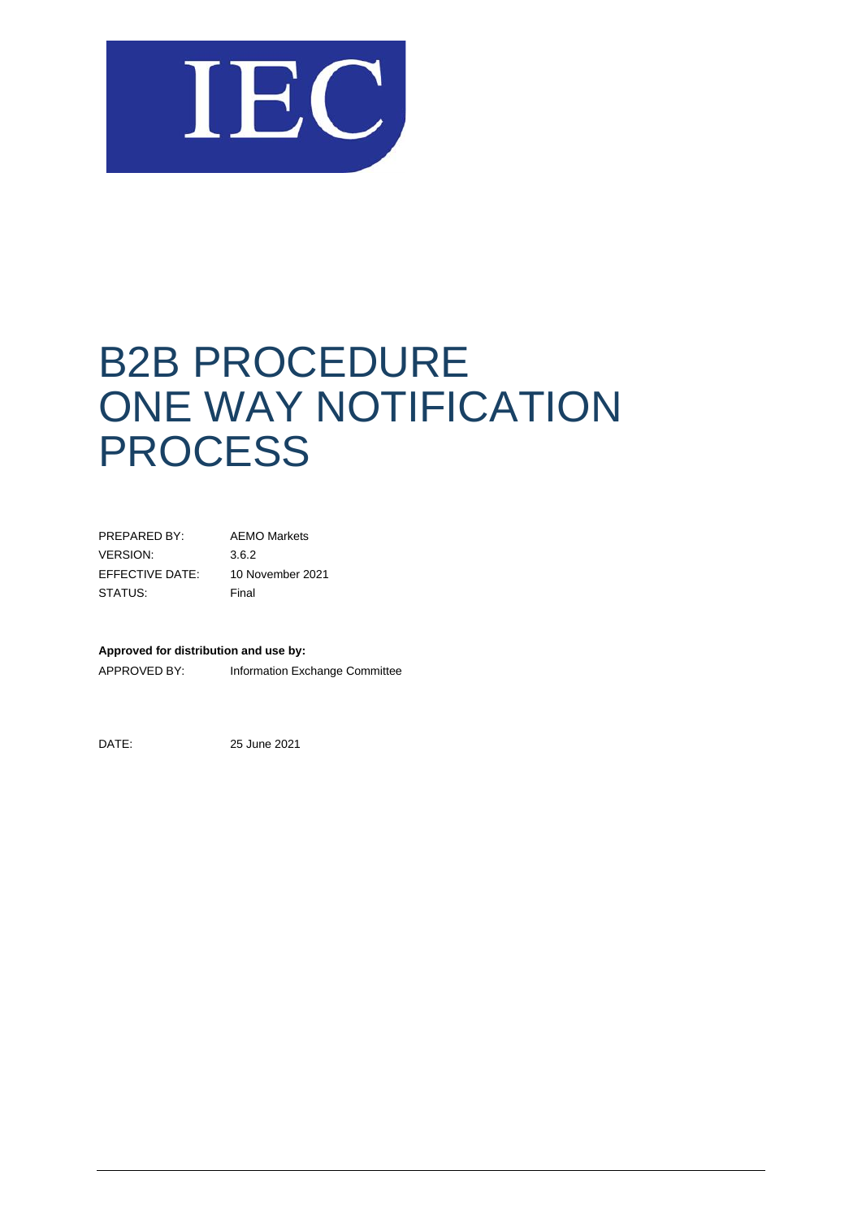

# B2B PROCEDURE ONE WAY NOTIFICATION **PROCESS**

| PRFPARFD BY:    | <b>AEMO Markets</b> |
|-----------------|---------------------|
| VERSION:        | 3.6.2               |
| EFFECTIVE DATE: | 10 November 2021    |
| STATUS:         | Final               |

#### **Approved for distribution and use by:**

APPROVED BY: Information Exchange Committee

DATE: 25 June 2021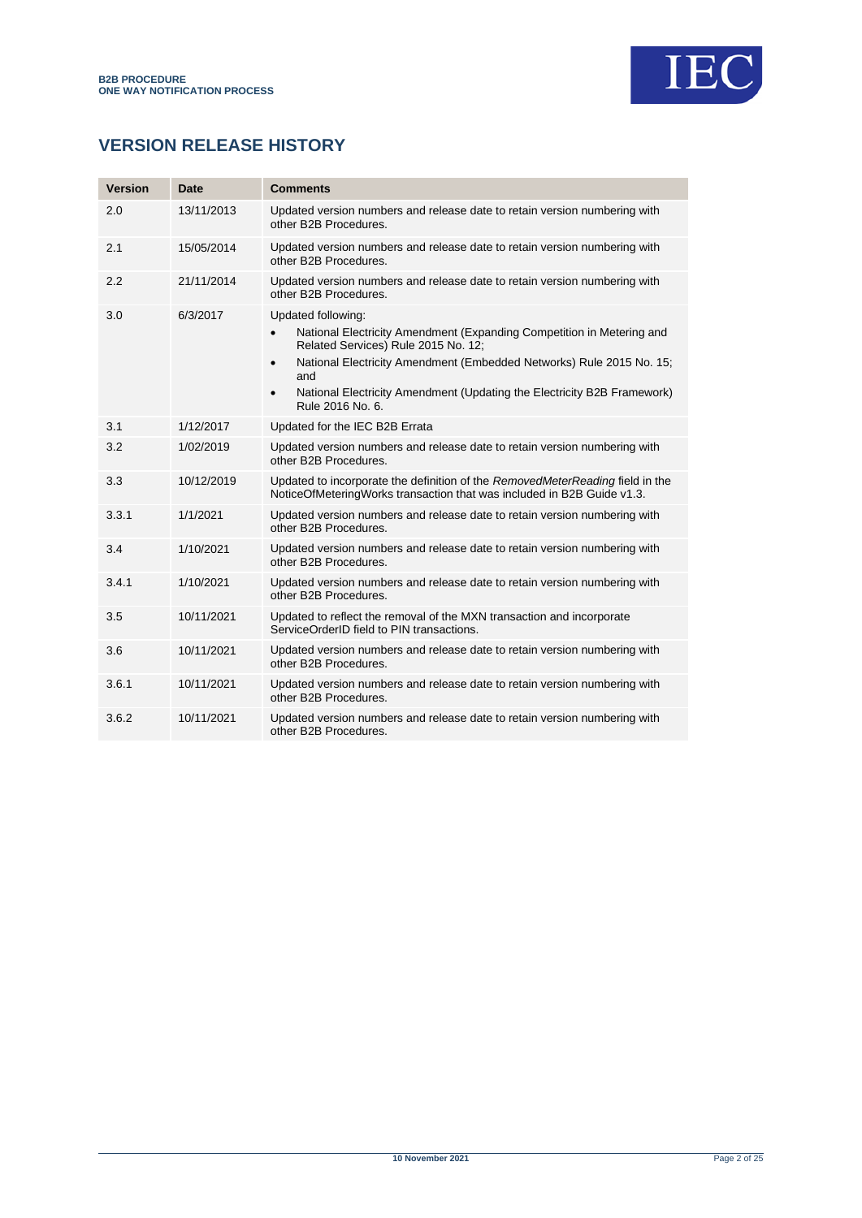

# **VERSION RELEASE HISTORY**

| <b>Version</b> | Date       | <b>Comments</b>                                                                                                                                                                                                                                                                                                                                         |
|----------------|------------|---------------------------------------------------------------------------------------------------------------------------------------------------------------------------------------------------------------------------------------------------------------------------------------------------------------------------------------------------------|
| 2.0            | 13/11/2013 | Updated version numbers and release date to retain version numbering with<br>other B2B Procedures.                                                                                                                                                                                                                                                      |
| 2.1            | 15/05/2014 | Updated version numbers and release date to retain version numbering with<br>other B2B Procedures.                                                                                                                                                                                                                                                      |
| 2.2            | 21/11/2014 | Updated version numbers and release date to retain version numbering with<br>other B2B Procedures.                                                                                                                                                                                                                                                      |
| 3.0            | 6/3/2017   | Updated following:<br>National Electricity Amendment (Expanding Competition in Metering and<br>$\bullet$<br>Related Services) Rule 2015 No. 12;<br>National Electricity Amendment (Embedded Networks) Rule 2015 No. 15;<br>$\bullet$<br>and<br>National Electricity Amendment (Updating the Electricity B2B Framework)<br>$\bullet$<br>Rule 2016 No. 6. |
| 3.1            | 1/12/2017  | Updated for the IEC B2B Errata                                                                                                                                                                                                                                                                                                                          |
| 3.2            | 1/02/2019  | Updated version numbers and release date to retain version numbering with<br>other B2B Procedures.                                                                                                                                                                                                                                                      |
| 3.3            | 10/12/2019 | Updated to incorporate the definition of the RemovedMeterReading field in the<br>NoticeOfMeteringWorks transaction that was included in B2B Guide v1.3.                                                                                                                                                                                                 |
| 3.3.1          | 1/1/2021   | Updated version numbers and release date to retain version numbering with<br>other B2B Procedures.                                                                                                                                                                                                                                                      |
| 3.4            | 1/10/2021  | Updated version numbers and release date to retain version numbering with<br>other B2B Procedures.                                                                                                                                                                                                                                                      |
| 3.4.1          | 1/10/2021  | Updated version numbers and release date to retain version numbering with<br>other B2B Procedures.                                                                                                                                                                                                                                                      |
| 3.5            | 10/11/2021 | Updated to reflect the removal of the MXN transaction and incorporate<br>ServiceOrderID field to PIN transactions.                                                                                                                                                                                                                                      |
| 3.6            | 10/11/2021 | Updated version numbers and release date to retain version numbering with<br>other B2B Procedures.                                                                                                                                                                                                                                                      |
| 3.6.1          | 10/11/2021 | Updated version numbers and release date to retain version numbering with<br>other B2B Procedures.                                                                                                                                                                                                                                                      |
| 3.6.2          | 10/11/2021 | Updated version numbers and release date to retain version numbering with<br>other B2B Procedures.                                                                                                                                                                                                                                                      |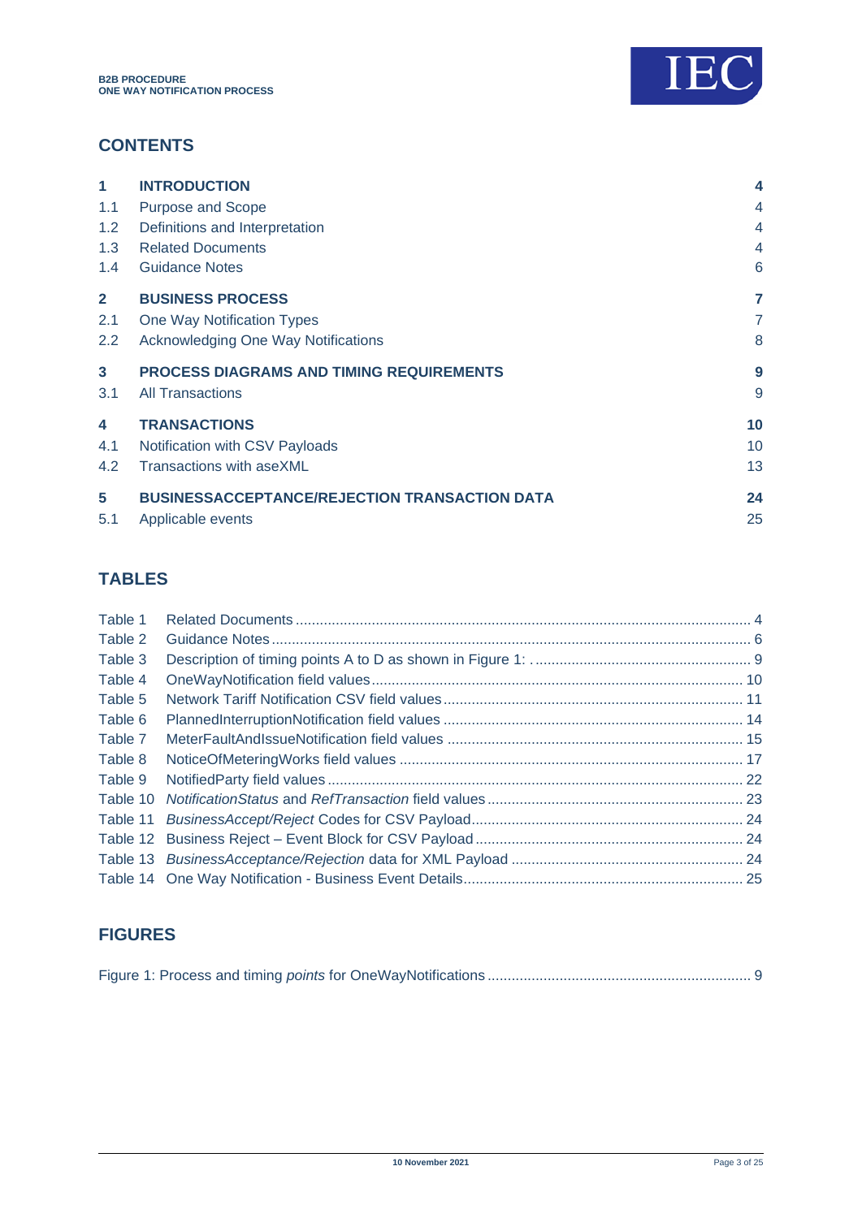

# **CONTENTS**

| 1                | <b>INTRODUCTION</b>                                  | $\overline{\bf 4}$ |
|------------------|------------------------------------------------------|--------------------|
| 1.1              | <b>Purpose and Scope</b>                             | 4                  |
| 1.2 <sub>1</sub> | Definitions and Interpretation                       | 4                  |
| 1.3              | <b>Related Documents</b>                             | 4                  |
| $1.4^{\circ}$    | <b>Guidance Notes</b>                                | 6                  |
| $\mathbf{2}$     | <b>BUSINESS PROCESS</b>                              | 7                  |
| 2.1              | One Way Notification Types                           | $\overline{7}$     |
| 2.2              | <b>Acknowledging One Way Notifications</b>           | 8                  |
| $\mathbf{3}$     | <b>PROCESS DIAGRAMS AND TIMING REQUIREMENTS</b>      | 9                  |
| 3.1              | <b>All Transactions</b>                              | 9                  |
| 4                | <b>TRANSACTIONS</b>                                  | 10                 |
| 4.1              | Notification with CSV Payloads                       | 10                 |
| 4.2              | Transactions with aseXML                             | 13                 |
| 5                | <b>BUSINESSACCEPTANCE/REJECTION TRANSACTION DATA</b> | 24                 |
| 5.1              | Applicable events                                    | 25                 |

# **TABLES**

| Table 1  |  |
|----------|--|
| Table 2  |  |
| Table 3  |  |
| Table 4  |  |
| Table 5  |  |
| Table 6  |  |
| Table 7  |  |
| Table 8  |  |
| Table 9  |  |
| Table 10 |  |
| Table 11 |  |
| Table 12 |  |
|          |  |
|          |  |
|          |  |

# **FIGURES**

|--|--|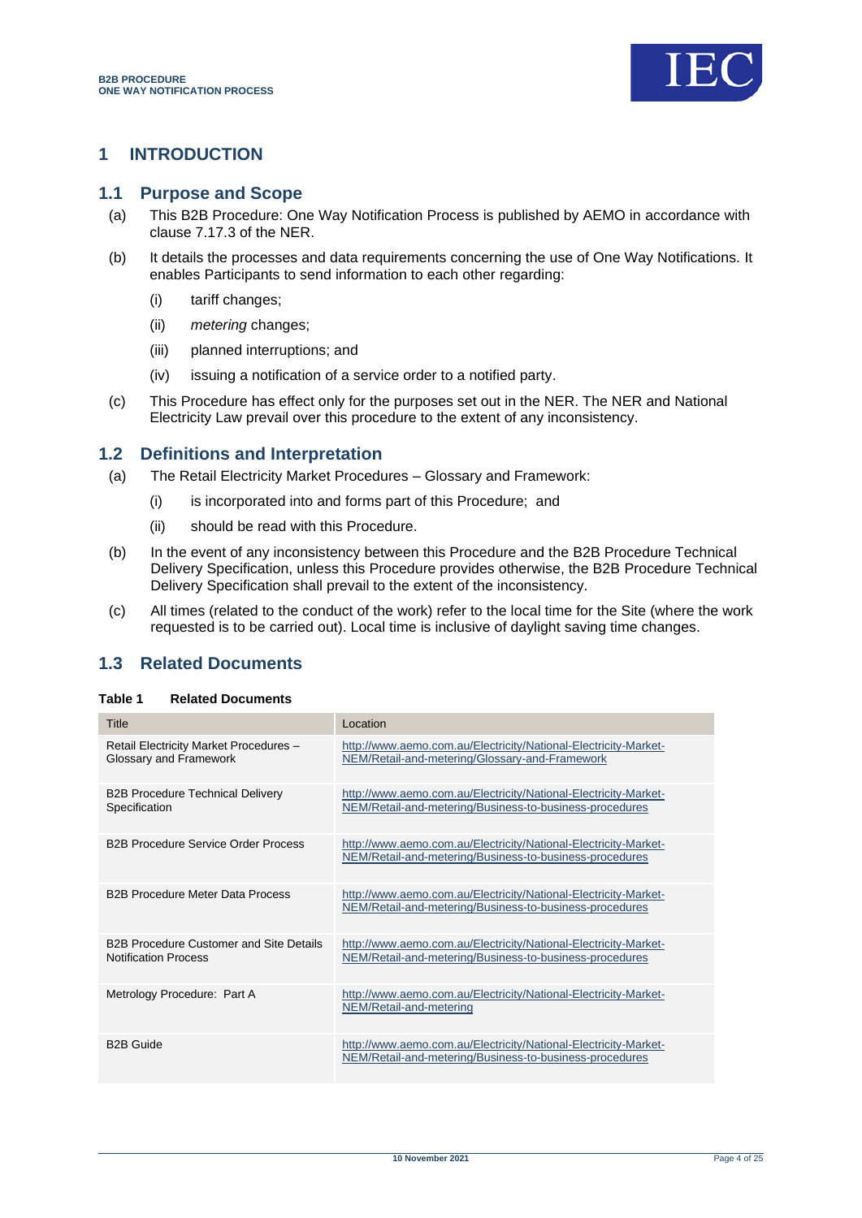

# <span id="page-3-0"></span>**1 INTRODUCTION**

## <span id="page-3-1"></span>**1.1 Purpose and Scope**

- (a) This B2B Procedure: One Way Notification Process is published by AEMO in accordance with clause 7.17.3 of the NER.
- (b) It details the processes and data requirements concerning the use of One Way Notifications. It enables Participants to send information to each other regarding:
	- (i) tariff changes;
	- (ii) *metering* changes;
	- (iii) planned interruptions; and
	- (iv) issuing a notification of a service order to a notified party.
- (c) This Procedure has effect only for the purposes set out in the NER. The NER and National Electricity Law prevail over this procedure to the extent of any inconsistency.

# <span id="page-3-2"></span>**1.2 Definitions and Interpretation**

- (a) The Retail Electricity Market Procedures Glossary and Framework:
	- (i) is incorporated into and forms part of this Procedure; and
	- (ii) should be read with this Procedure.
- (b) In the event of any inconsistency between this Procedure and the B2B Procedure Technical Delivery Specification, unless this Procedure provides otherwise, the B2B Procedure Technical Delivery Specification shall prevail to the extent of the inconsistency.
- (c) All times (related to the conduct of the work) refer to the local time for the Site (where the work requested is to be carried out). Local time is inclusive of daylight saving time changes.

# <span id="page-3-3"></span>**1.3 Related Documents**

#### <span id="page-3-4"></span>**Table 1 Related Documents**

| Title                                                                         | Location                                                                                                                   |
|-------------------------------------------------------------------------------|----------------------------------------------------------------------------------------------------------------------------|
| Retail Electricity Market Procedures -<br>Glossary and Framework              | http://www.aemo.com.au/Electricity/National-Electricity-Market-<br>NEM/Retail-and-metering/Glossary-and-Framework          |
| <b>B2B Procedure Technical Delivery</b><br>Specification                      | http://www.aemo.com.au/Electricity/National-Electricity-Market-<br>NEM/Retail-and-metering/Business-to-business-procedures |
| <b>B2B Procedure Service Order Process</b>                                    | http://www.aemo.com.au/Electricity/National-Electricity-Market-<br>NEM/Retail-and-metering/Business-to-business-procedures |
| <b>B2B Procedure Meter Data Process</b>                                       | http://www.aemo.com.au/Electricity/National-Electricity-Market-<br>NEM/Retail-and-metering/Business-to-business-procedures |
| <b>B2B Procedure Customer and Site Details</b><br><b>Notification Process</b> | http://www.aemo.com.au/Electricity/National-Electricity-Market-<br>NEM/Retail-and-metering/Business-to-business-procedures |
| Metrology Procedure: Part A                                                   | http://www.aemo.com.au/Electricity/National-Electricity-Market-<br>NEM/Retail-and-metering                                 |
| <b>B2B Guide</b>                                                              | http://www.aemo.com.au/Electricity/National-Electricity-Market-<br>NEM/Retail-and-metering/Business-to-business-procedures |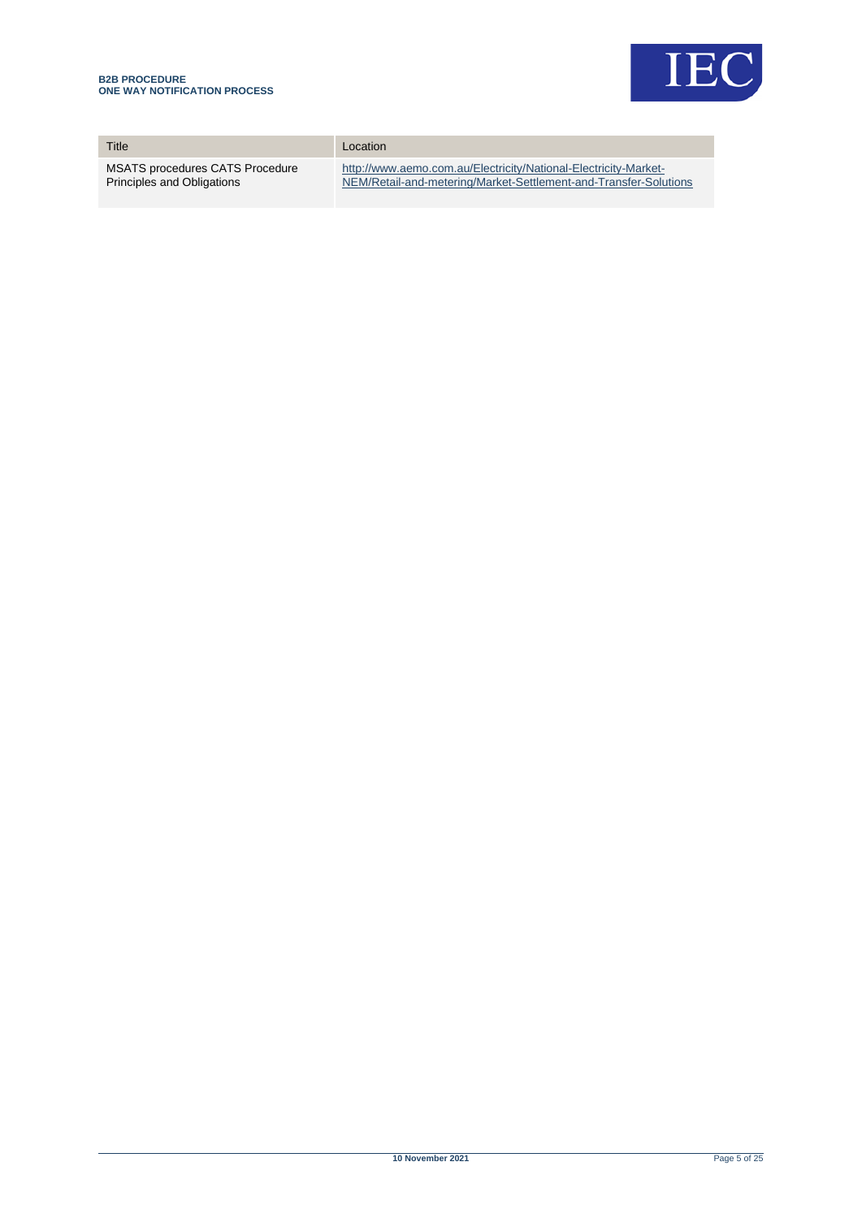

| Title                                  | Location                                                         |
|----------------------------------------|------------------------------------------------------------------|
| <b>MSATS procedures CATS Procedure</b> | http://www.aemo.com.au/Electricity/National-Electricity-Market-  |
| Principles and Obligations             | NEM/Retail-and-metering/Market-Settlement-and-Transfer-Solutions |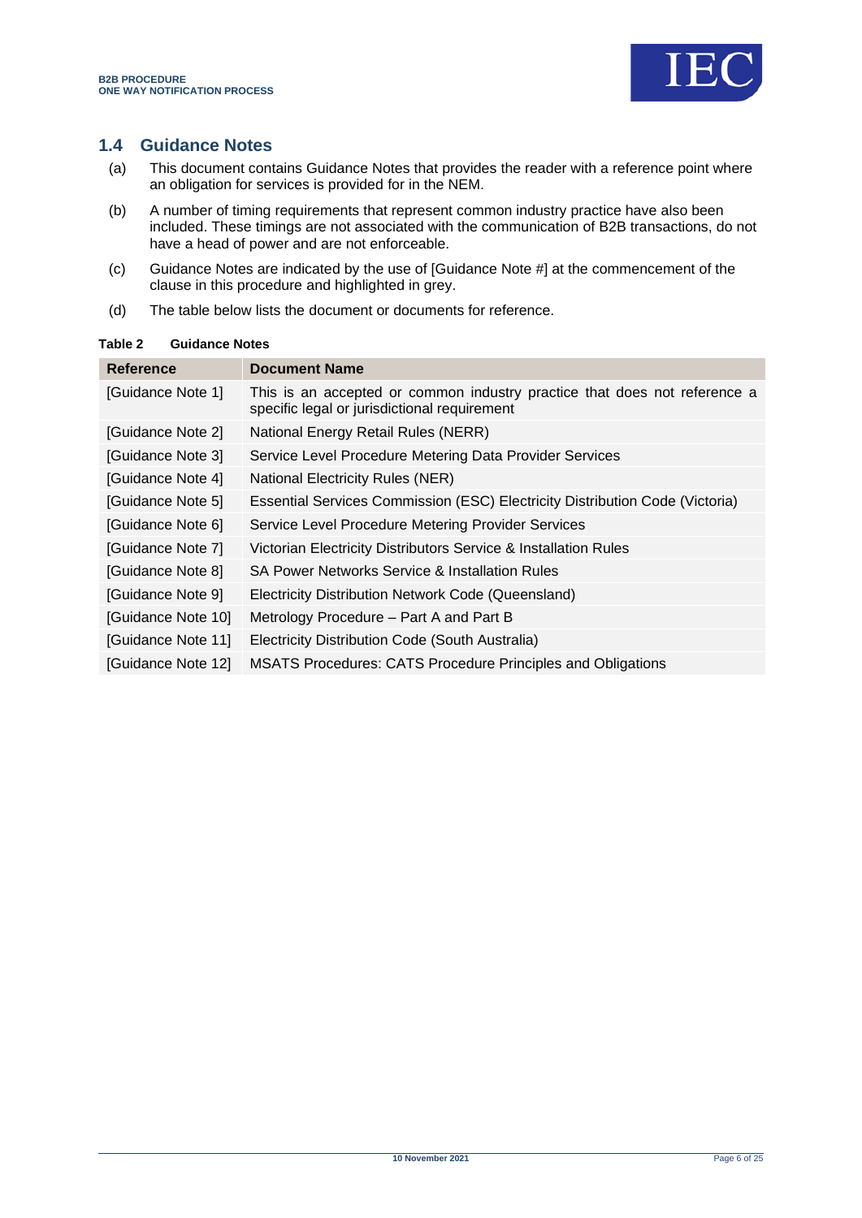

# <span id="page-5-0"></span>**1.4 Guidance Notes**

- (a) This document contains Guidance Notes that provides the reader with a reference point where an obligation for services is provided for in the NEM.
- (b) A number of timing requirements that represent common industry practice have also been included. These timings are not associated with the communication of B2B transactions, do not have a head of power and are not enforceable.
- (c) Guidance Notes are indicated by the use of [Guidance Note #] at the commencement of the clause in this procedure and highlighted in grey.
- (d) The table below lists the document or documents for reference.

## <span id="page-5-1"></span>**Table 2 Guidance Notes**

| Reference          | <b>Document Name</b>                                                                                                      |
|--------------------|---------------------------------------------------------------------------------------------------------------------------|
| [Guidance Note 1]  | This is an accepted or common industry practice that does not reference a<br>specific legal or jurisdictional requirement |
| [Guidance Note 2]  | National Energy Retail Rules (NERR)                                                                                       |
| [Guidance Note 3]  | Service Level Procedure Metering Data Provider Services                                                                   |
| [Guidance Note 4]  | <b>National Electricity Rules (NER)</b>                                                                                   |
| [Guidance Note 5]  | Essential Services Commission (ESC) Electricity Distribution Code (Victoria)                                              |
| [Guidance Note 6]  | Service Level Procedure Metering Provider Services                                                                        |
| [Guidance Note 7]  | Victorian Electricity Distributors Service & Installation Rules                                                           |
| [Guidance Note 8]  | SA Power Networks Service & Installation Rules                                                                            |
| [Guidance Note 9]  | Electricity Distribution Network Code (Queensland)                                                                        |
| [Guidance Note 10] | Metrology Procedure – Part A and Part B                                                                                   |
| [Guidance Note 11] | Electricity Distribution Code (South Australia)                                                                           |
| [Guidance Note 12] | <b>MSATS Procedures: CATS Procedure Principles and Obligations</b>                                                        |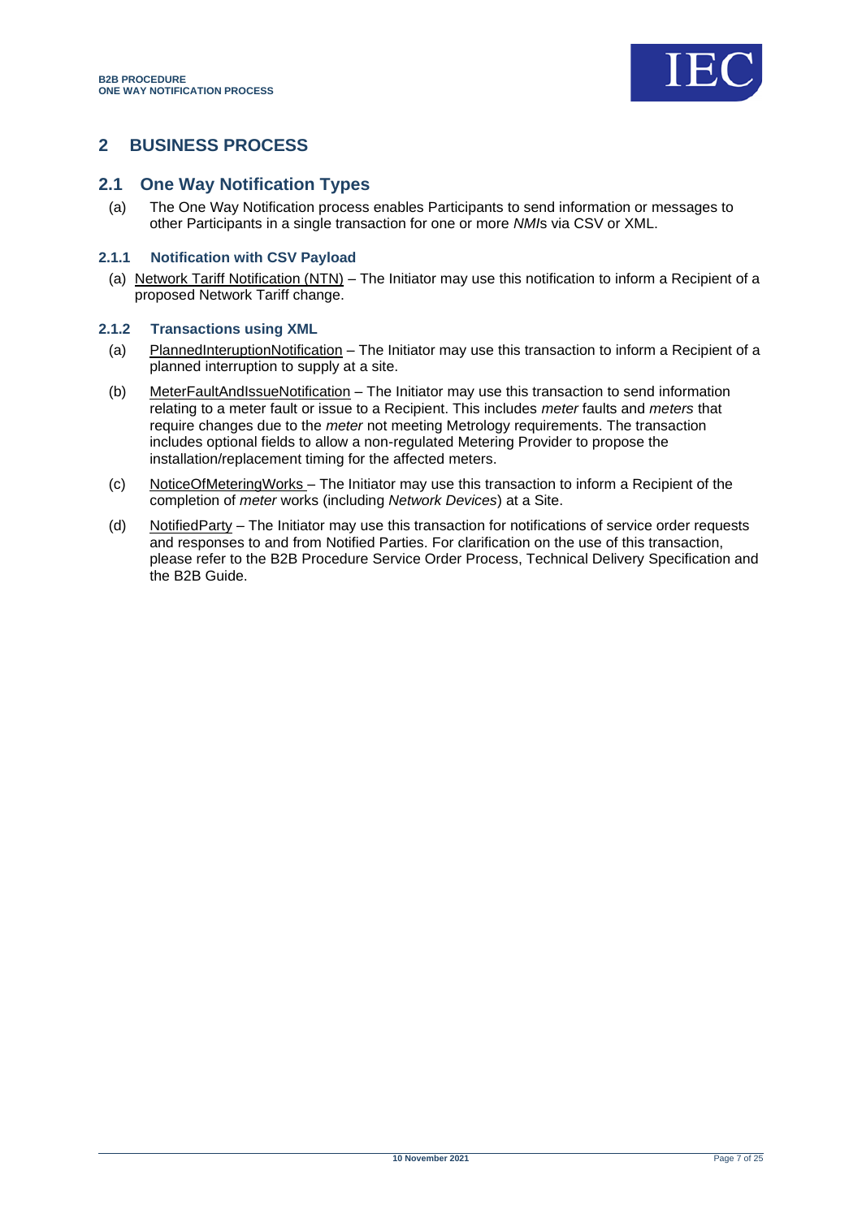

# <span id="page-6-0"></span>**2 BUSINESS PROCESS**

## <span id="page-6-1"></span>**2.1 One Way Notification Types**

(a) The One Way Notification process enables Participants to send information or messages to other Participants in a single transaction for one or more *NMI*s via CSV or XML.

#### **2.1.1 Notification with CSV Payload**

(a) Network Tariff Notification (NTN) – The Initiator may use this notification to inform a Recipient of a proposed Network Tariff change.

#### **2.1.2 Transactions using XML**

- (a) PlannedInteruptionNotification The Initiator may use this transaction to inform a Recipient of a planned interruption to supply at a site.
- (b) Meter**FaultAndIssueNotification** The Initiator may use this transaction to send information relating to a meter fault or issue to a Recipient. This includes *meter* faults and *meters* that require changes due to the *meter* not meeting Metrology requirements. The transaction includes optional fields to allow a non-regulated Metering Provider to propose the installation/replacement timing for the affected meters.
- (c) NoticeOfMeteringWorks The Initiator may use this transaction to inform a Recipient of the completion of *meter* works (including *Network Devices*) at a Site.
- (d) NotifiedParty The Initiator may use this transaction for notifications of service order requests and responses to and from Notified Parties. For clarification on the use of this transaction, please refer to the B2B Procedure Service Order Process, Technical Delivery Specification and the B2B Guide.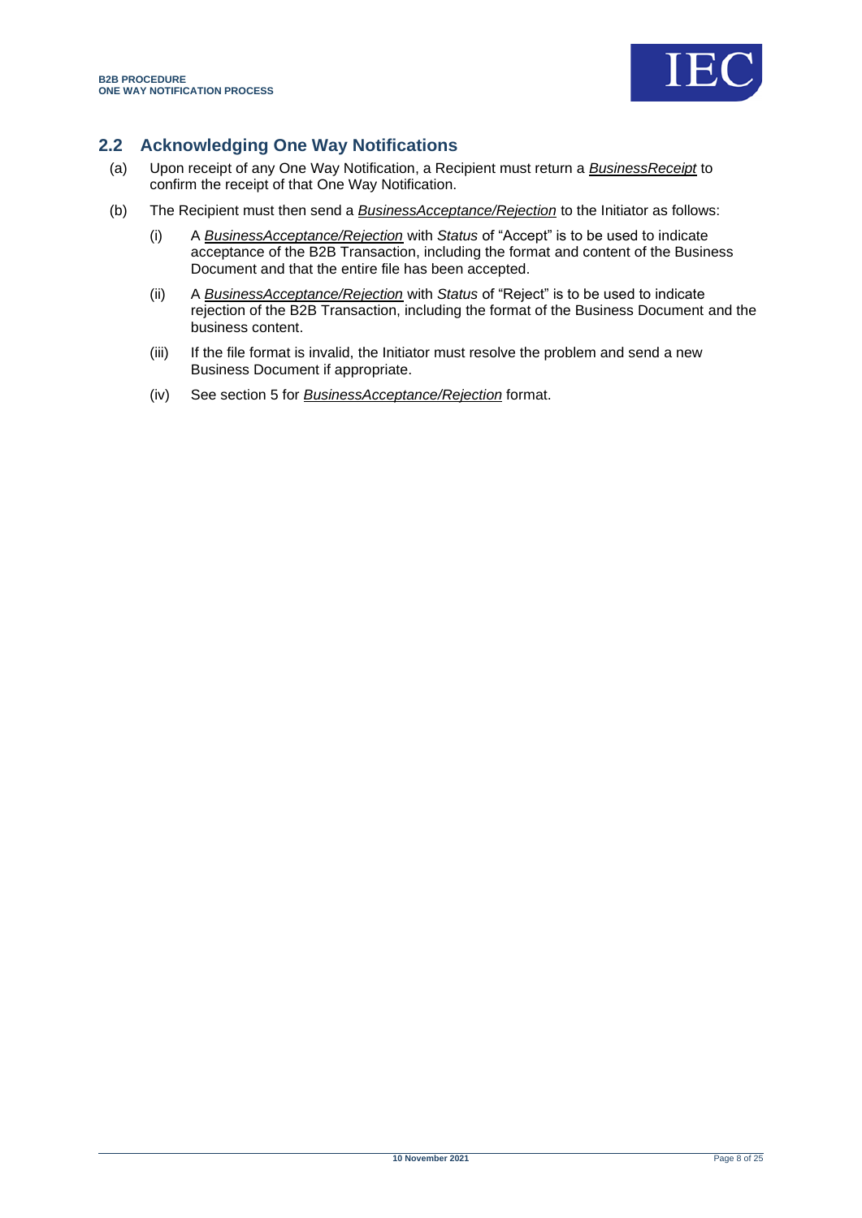

# <span id="page-7-0"></span>**2.2 Acknowledging One Way Notifications**

- (a) Upon receipt of any One Way Notification, a Recipient must return a *BusinessReceipt* to confirm the receipt of that One Way Notification.
- (b) The Recipient must then send a *BusinessAcceptance/Rejection* to the Initiator as follows:
	- (i) A *BusinessAcceptance/Rejection* with *Status* of "Accept" is to be used to indicate acceptance of the B2B Transaction, including the format and content of the Business Document and that the entire file has been accepted.
	- (ii) A *BusinessAcceptance/Rejection* with *Status* of "Reject" is to be used to indicate rejection of the B2B Transaction, including the format of the Business Document and the business content.
	- (iii) If the file format is invalid, the Initiator must resolve the problem and send a new Business Document if appropriate.
	- (iv) See section [5](#page-23-0) for *BusinessAcceptance/Rejection* format.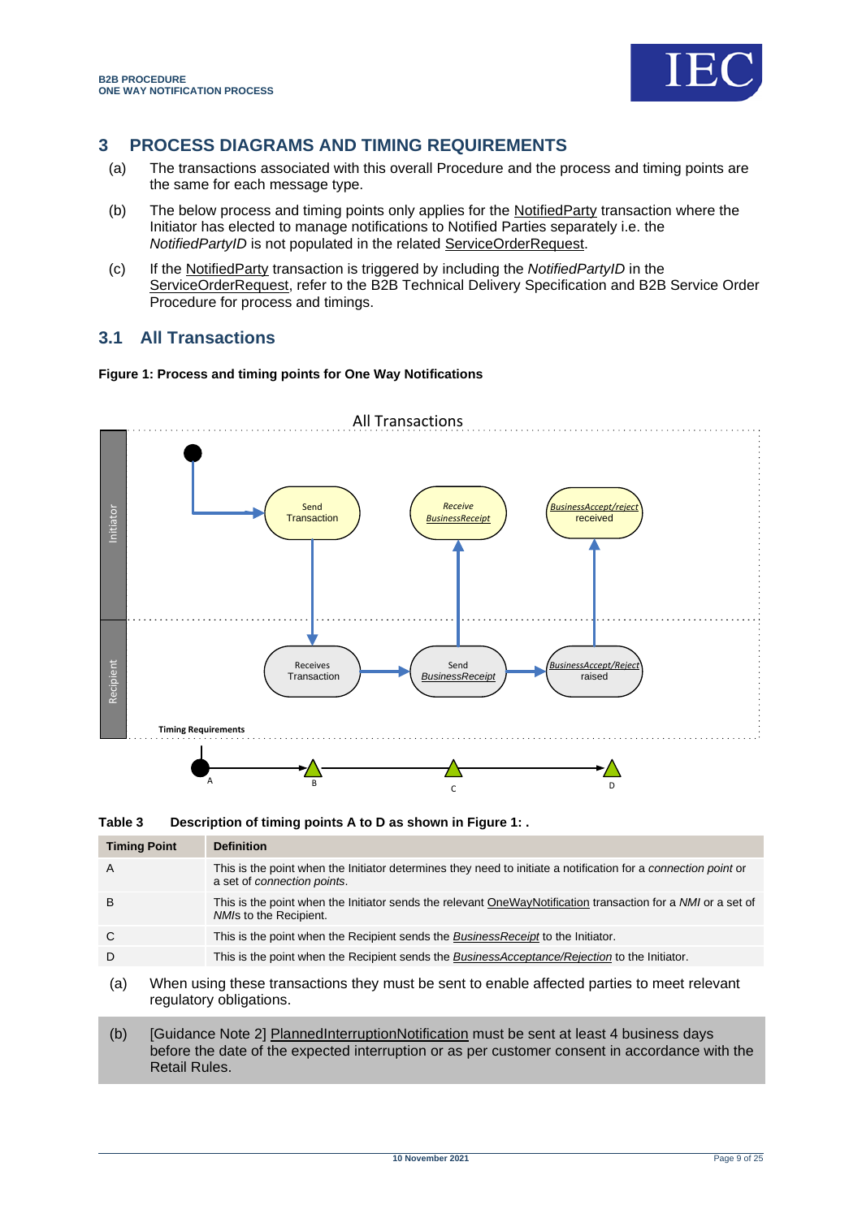

# <span id="page-8-0"></span>**3 PROCESS DIAGRAMS AND TIMING REQUIREMENTS**

- (a) The transactions associated with this overall Procedure and the process and timing points are the same for each message type.
- (b) The below process and timing points only applies for the NotifiedParty transaction where the Initiator has elected to manage notifications to Notified Parties separately i.e. the *NotifiedPartyID* is not populated in the related ServiceOrderRequest.
- (c) If the NotifiedParty transaction is triggered by including the *NotifiedPartyID* in the ServiceOrderRequest, refer to the B2B Technical Delivery Specification and B2B Service Order Procedure for process and timings.

# <span id="page-8-1"></span>**3.1 All Transactions**

#### <span id="page-8-3"></span>**Figure 1: Process and timing points for One Way Notifications**



<span id="page-8-2"></span>**Table 3 Description of timing points A to D as shown i[n Figure 1: .](#page-8-3)**

| <b>Timing Point</b> | <b>Definition</b>                                                                                                                             |
|---------------------|-----------------------------------------------------------------------------------------------------------------------------------------------|
| $\overline{A}$      | This is the point when the Initiator determines they need to initiate a notification for a connection point or<br>a set of connection points. |
| B                   | This is the point when the Initiator sends the relevant OneWayNotification transaction for a NMI or a set of<br>NMIs to the Recipient.        |
| C                   | This is the point when the Recipient sends the <i>BusinessReceipt</i> to the Initiator.                                                       |
| D                   | This is the point when the Recipient sends the <i>BusinessAcceptance/Rejection</i> to the Initiator.                                          |
| (a)                 | When using these transactions they must be sent to enable affected parties to meet relevant<br>regulatory obligations.                        |

(b) [Guidance Note 2] PlannedInterruptionNotification must be sent at least 4 business days before the date of the expected interruption or as per customer consent in accordance with the Retail Rules.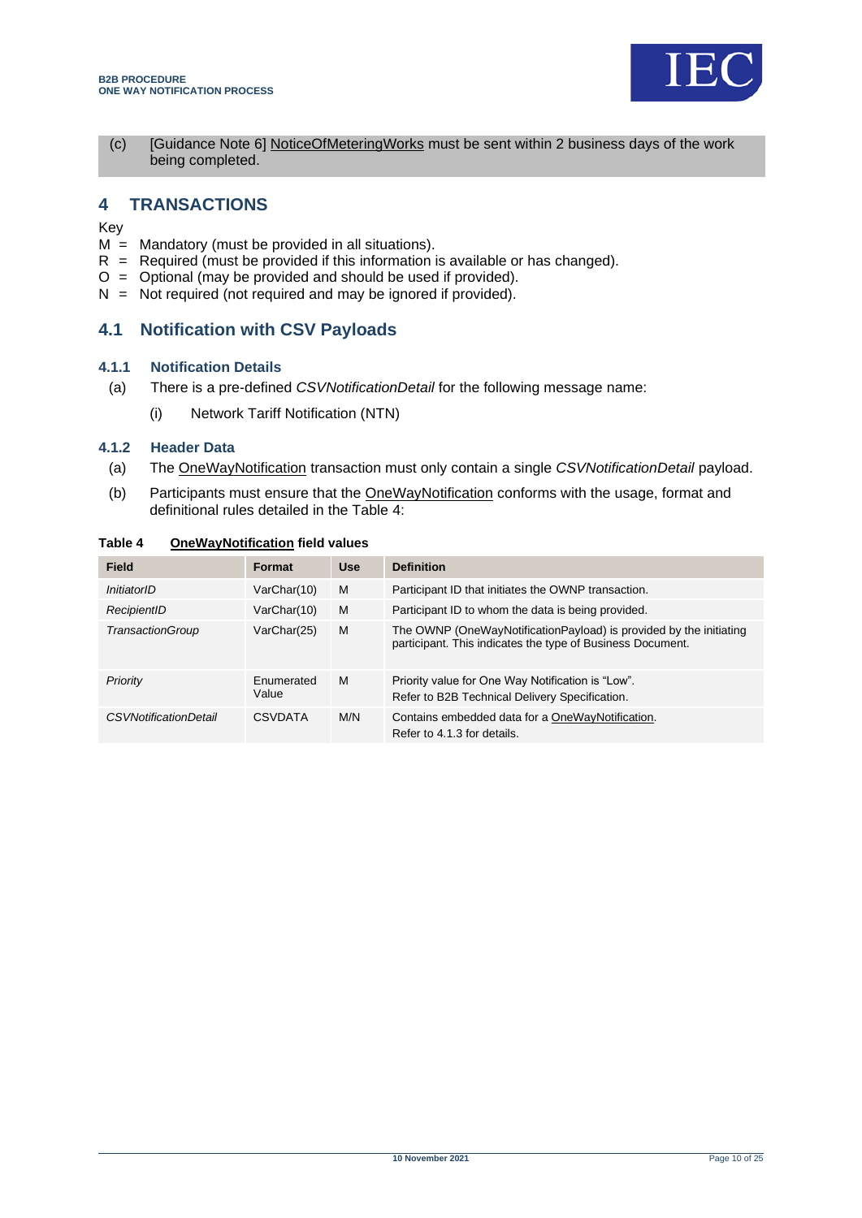

(c) [Guidance Note 6] NoticeOfMeteringWorks must be sent within 2 business days of the work being completed.

# <span id="page-9-0"></span>**4 TRANSACTIONS**

Key

- $M =$  Mandatory (must be provided in all situations).
- $R$  = Required (must be provided if this information is available or has changed).
- $O =$  Optional (may be provided and should be used if provided).
- $N = Not required (not required and may be ignored if provided).$

## <span id="page-9-1"></span>**4.1 Notification with CSV Payloads**

#### **4.1.1 Notification Details**

- (a) There is a pre-defined *CSVNotificationDetail* for the following message name:
	- (i) Network Tariff Notification (NTN)

#### **4.1.2 Header Data**

- (a) The OneWayNotification transaction must only contain a single *CSVNotificationDetail* payload.
- (b) Participants must ensure that the OneWayNotification conforms with the usage, format and definitional rules detailed in the Table 4:

| <b>Field</b>                 | <b>Format</b>       | <b>Use</b> | <b>Definition</b>                                                                                                                |
|------------------------------|---------------------|------------|----------------------------------------------------------------------------------------------------------------------------------|
| InitiatorID                  | VarChar(10)         | M          | Participant ID that initiates the OWNP transaction.                                                                              |
| RecipientID                  | VarChar(10)         | M          | Participant ID to whom the data is being provided.                                                                               |
| TransactionGroup             | VarChar(25)         | M          | The OWNP (OneWayNotificationPayload) is provided by the initiating<br>participant. This indicates the type of Business Document. |
| Priority                     | Enumerated<br>Value | M          | Priority value for One Way Notification is "Low".<br>Refer to B2B Technical Delivery Specification.                              |
| <b>CSVNotificationDetail</b> | CSVDATA             | M/N        | Contains embedded data for a OneWayNotification.<br>Refer to 4.1.3 for details.                                                  |

#### <span id="page-9-2"></span>**Table 4 OneWayNotification field values**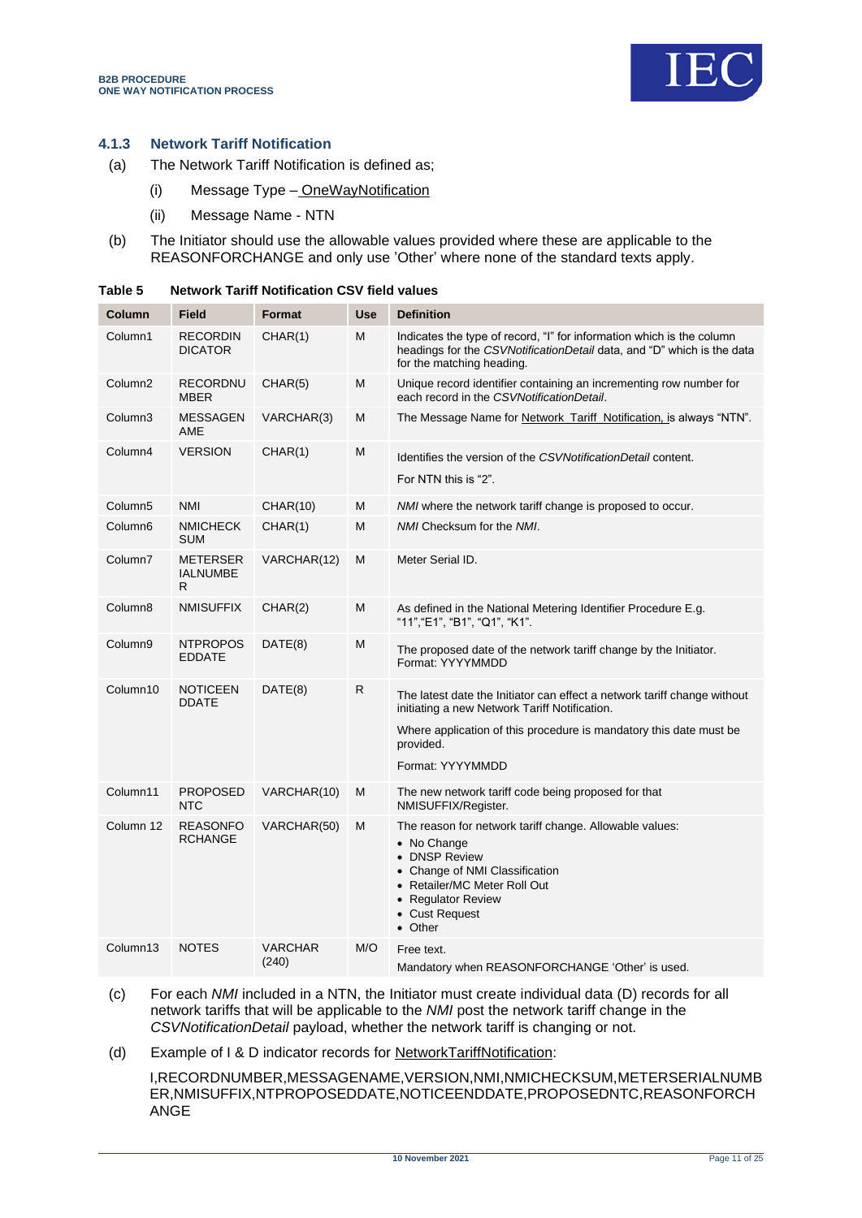

## **4.1.3 Network Tariff Notification**

- (a) The Network Tariff Notification is defined as;
	- (i) Message Type OneWayNotification
	- (ii) Message Name NTN
- (b) The Initiator should use the allowable values provided where these are applicable to the REASONFORCHANGE and only use 'Other' where none of the standard texts apply.

| Column              | <b>Field</b>                            | <b>Format</b>           | <b>Use</b> | <b>Definition</b>                                                                                                                                                                                                                |
|---------------------|-----------------------------------------|-------------------------|------------|----------------------------------------------------------------------------------------------------------------------------------------------------------------------------------------------------------------------------------|
| Column1             | <b>RECORDIN</b><br><b>DICATOR</b>       | CHAR(1)                 | M          | Indicates the type of record, "I" for information which is the column<br>headings for the CSVNotificationDetail data, and "D" which is the data<br>for the matching heading.                                                     |
| Column <sub>2</sub> | RECORDNU<br><b>MBER</b>                 | CHAR(5)                 | M          | Unique record identifier containing an incrementing row number for<br>each record in the CSVNotificationDetail.                                                                                                                  |
| Column3             | <b>MESSAGEN</b><br>AME                  | VARCHAR(3)              | M          | The Message Name for Network_Tariff_Notification, is always "NTN".                                                                                                                                                               |
| Column4             | <b>VERSION</b>                          | CHAR(1)                 | M          | Identifies the version of the CSVNotificationDetail content.<br>For NTN this is "2".                                                                                                                                             |
| Column <sub>5</sub> | <b>NMI</b>                              | <b>CHAR(10)</b>         | M          | <i>NMI</i> where the network tariff change is proposed to occur.                                                                                                                                                                 |
| Column6             | <b>NMICHECK</b><br><b>SUM</b>           | CHAR(1)                 | M          | NMI Checksum for the NMI.                                                                                                                                                                                                        |
| Column7             | <b>METERSER</b><br><b>IALNUMBE</b><br>R | VARCHAR(12)             | M          | Meter Serial ID.                                                                                                                                                                                                                 |
| Column8             | <b>NMISUFFIX</b>                        | CHAR(2)                 | M          | As defined in the National Metering Identifier Procedure E.g.<br>"11", "E1", "B1", "Q1", "K1".                                                                                                                                   |
| Column9             | <b>NTPROPOS</b><br><b>EDDATE</b>        | DATE(8)                 | M          | The proposed date of the network tariff change by the Initiator.<br>Format: YYYYMMDD                                                                                                                                             |
| Column10            | <b>NOTICEEN</b><br><b>DDATE</b>         | DATE(8)                 | R          | The latest date the Initiator can effect a network tariff change without<br>initiating a new Network Tariff Notification.<br>Where application of this procedure is mandatory this date must be<br>provided.<br>Format: YYYYMMDD |
| Column11            | <b>PROPOSED</b><br><b>NTC</b>           | VARCHAR(10)             | M          | The new network tariff code being proposed for that<br>NMISUFFIX/Register.                                                                                                                                                       |
| Column 12           | <b>REASONFO</b><br><b>RCHANGE</b>       | VARCHAR(50)             | M          | The reason for network tariff change. Allowable values:<br>• No Change<br>• DNSP Review<br>• Change of NMI Classification<br>• Retailer/MC Meter Roll Out<br>• Regulator Review<br>• Cust Request<br>• Other                     |
| Column13            | <b>NOTES</b>                            | <b>VARCHAR</b><br>(240) | M/O        | Free text.<br>Mandatory when REASONFORCHANGE 'Other' is used.                                                                                                                                                                    |

<span id="page-10-0"></span>

| Table 5 | <b>Network Tariff Notification CSV field values</b> |  |  |
|---------|-----------------------------------------------------|--|--|
|         |                                                     |  |  |

(c) For each *NMI* included in a NTN, the Initiator must create individual data (D) records for all network tariffs that will be applicable to the *NMI* post the network tariff change in the *CSVNotificationDetail* payload, whether the network tariff is changing or not.

(d) Example of I & D indicator records for NetworkTariffNotification:

I,RECORDNUMBER,MESSAGENAME,VERSION,NMI,NMICHECKSUM,METERSERIALNUMB ER,NMISUFFIX,NTPROPOSEDDATE,NOTICEENDDATE,PROPOSEDNTC,REASONFORCH ANGE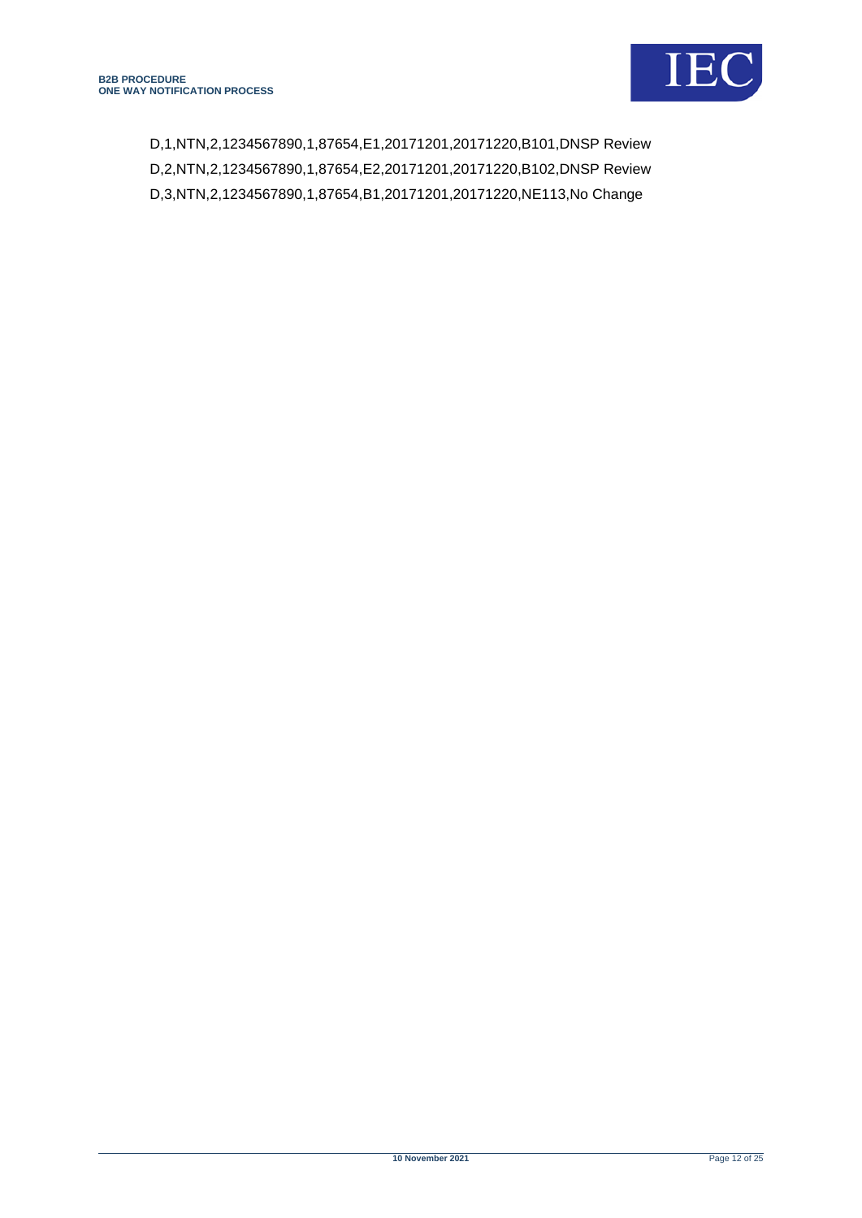

D,1,NTN,2,1234567890,1,87654,E1,20171201,20171220,B101,DNSP Review D,2,NTN,2,1234567890,1,87654,E2,20171201,20171220,B102,DNSP Review D,3,NTN,2,1234567890,1,87654,B1,20171201,20171220,NE113,No Change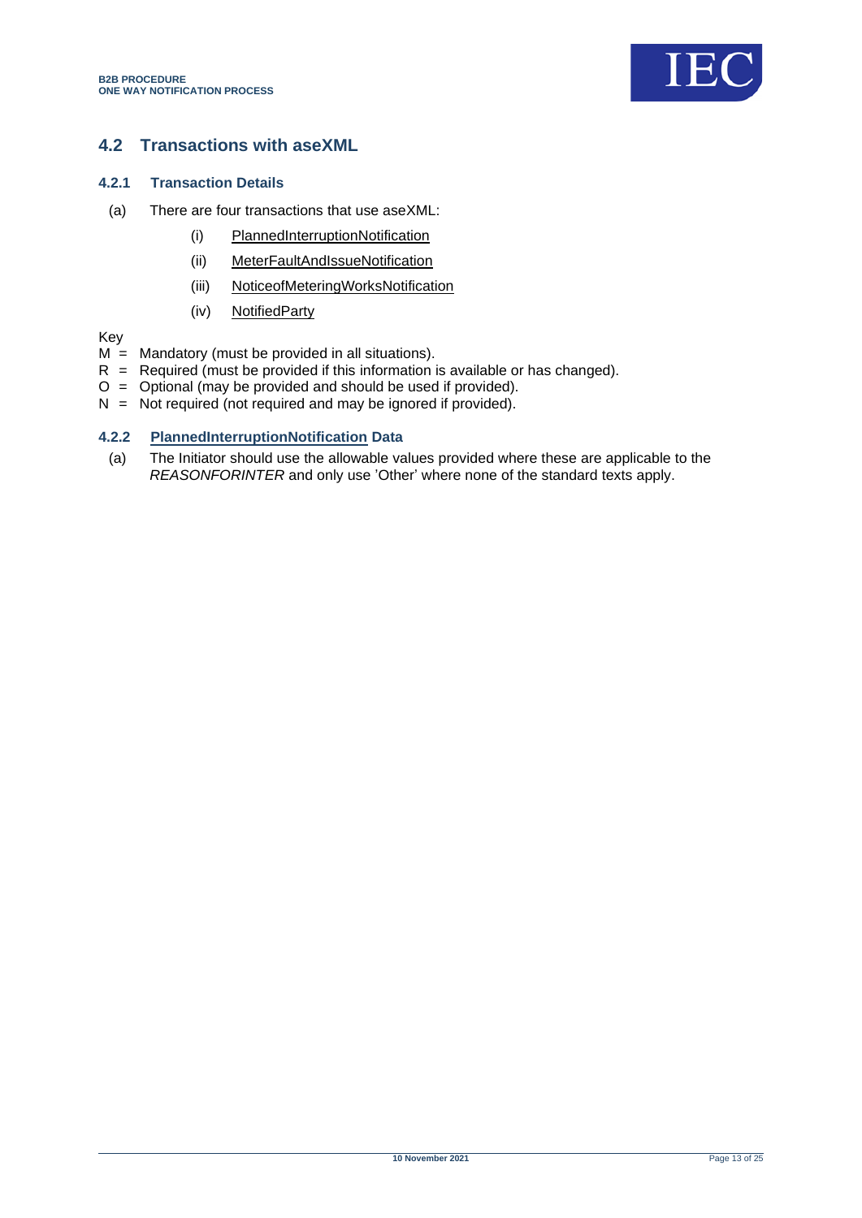

# <span id="page-12-0"></span>**4.2 Transactions with aseXML**

#### **4.2.1 Transaction Details**

- (a) There are four transactions that use aseXML:
	- (i) PlannedInterruptionNotification
	- (ii) MeterFaultAndIssueNotification
	- (iii) NoticeofMeteringWorksNotification
	- (iv) NotifiedParty

Key

- $M =$  Mandatory (must be provided in all situations).
- $R$  = Required (must be provided if this information is available or has changed).
- O = Optional (may be provided and should be used if provided).
- $N =$  Not required (not required and may be ignored if provided).

## **4.2.2 PlannedInterruptionNotification Data**

(a) The Initiator should use the allowable values provided where these are applicable to the *REASONFORINTER* and only use 'Other' where none of the standard texts apply.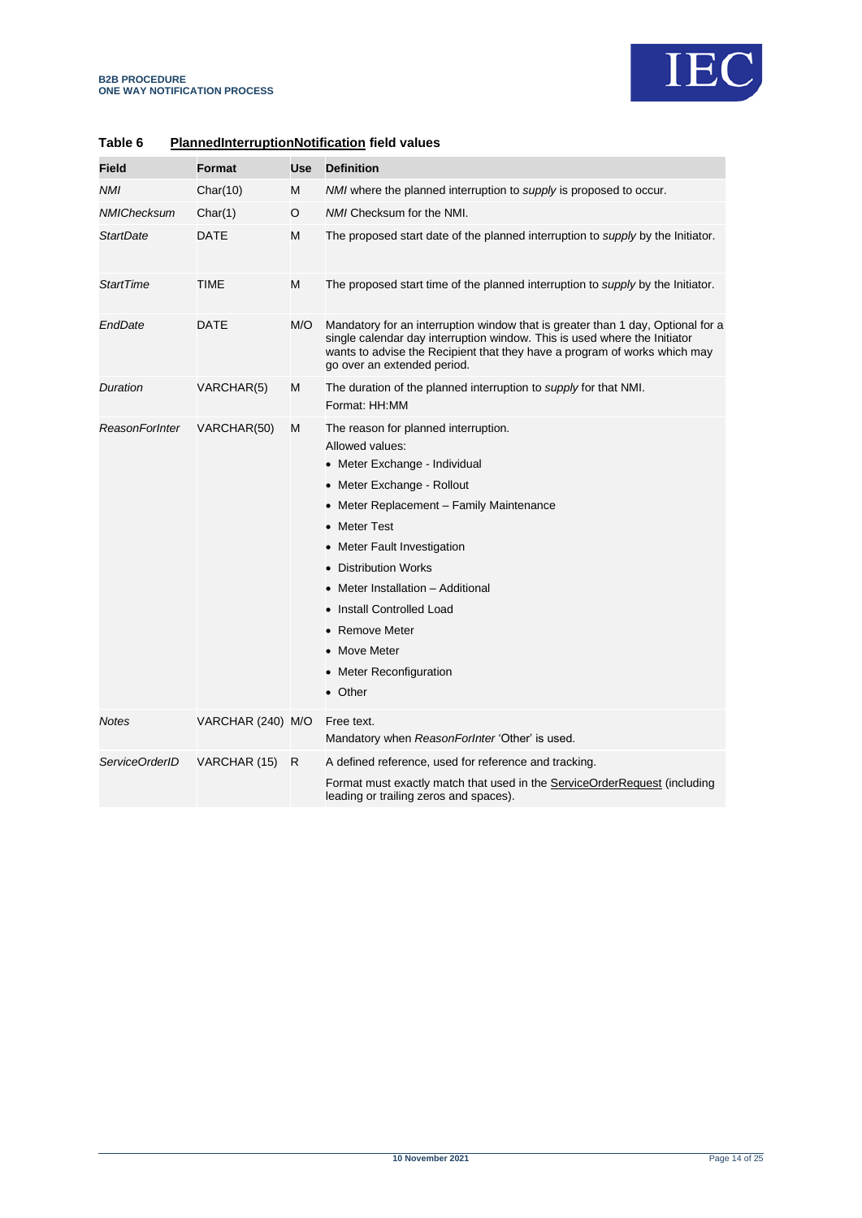

| Field                 | <b>Format</b>     | Use | <b>Definition</b>                                                                                                                                                                                                                                                                                                                                                                   |
|-----------------------|-------------------|-----|-------------------------------------------------------------------------------------------------------------------------------------------------------------------------------------------------------------------------------------------------------------------------------------------------------------------------------------------------------------------------------------|
| NMI                   | Char(10)          | M   | NMI where the planned interruption to <i>supply</i> is proposed to occur.                                                                                                                                                                                                                                                                                                           |
| <b>NMIChecksum</b>    | Char(1)           | O   | NMI Checksum for the NMI.                                                                                                                                                                                                                                                                                                                                                           |
| <b>StartDate</b>      | DATE              | M   | The proposed start date of the planned interruption to supply by the Initiator.                                                                                                                                                                                                                                                                                                     |
| <b>StartTime</b>      | TIME              | м   | The proposed start time of the planned interruption to supply by the Initiator.                                                                                                                                                                                                                                                                                                     |
| EndDate               | DATE              | M/O | Mandatory for an interruption window that is greater than 1 day, Optional for a<br>single calendar day interruption window. This is used where the Initiator<br>wants to advise the Recipient that they have a program of works which may<br>go over an extended period.                                                                                                            |
| Duration              | VARCHAR(5)        | M   | The duration of the planned interruption to <i>supply</i> for that NMI.<br>Format: HH:MM                                                                                                                                                                                                                                                                                            |
| <b>ReasonForInter</b> | VARCHAR(50)       | M   | The reason for planned interruption.<br>Allowed values:<br>• Meter Exchange - Individual<br>• Meter Exchange - Rollout<br>• Meter Replacement - Family Maintenance<br>• Meter Test<br>• Meter Fault Investigation<br>• Distribution Works<br>• Meter Installation - Additional<br>• Install Controlled Load<br>• Remove Meter<br>• Move Meter<br>• Meter Reconfiguration<br>• Other |
| <b>Notes</b>          | VARCHAR (240) M/O |     | Free text.<br>Mandatory when ReasonForlnter 'Other' is used.                                                                                                                                                                                                                                                                                                                        |
| ServiceOrderID        | VARCHAR (15)      | R   | A defined reference, used for reference and tracking.<br>Format must exactly match that used in the ServiceOrderRequest (including<br>leading or trailing zeros and spaces).                                                                                                                                                                                                        |

## <span id="page-13-0"></span>**Table 6 PlannedInterruptionNotification field values**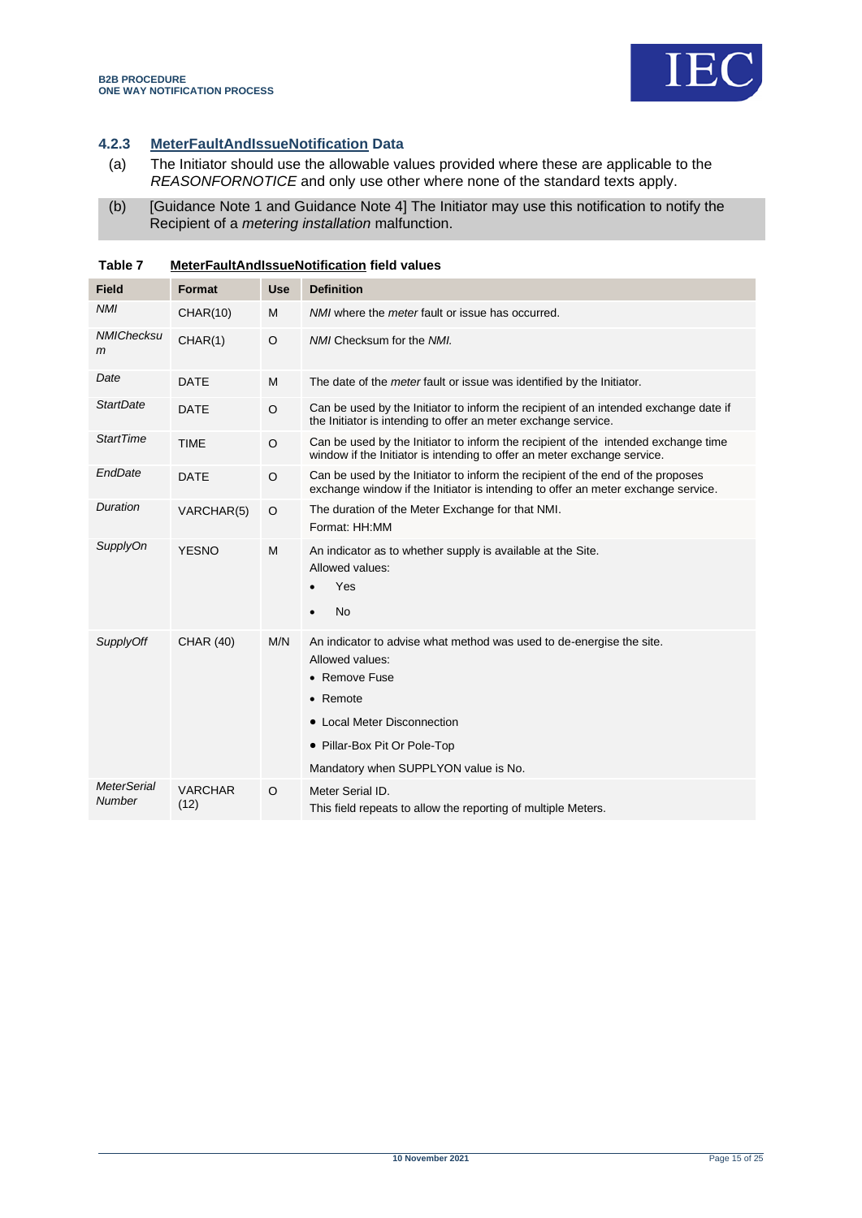

## **4.2.3 MeterFaultAndIssueNotification Data**

- (a) The Initiator should use the allowable values provided where these are applicable to the *REASONFORNOTICE* and only use other where none of the standard texts apply.
- (b) [Guidance Note 1 and Guidance Note 4] The Initiator may use this notification to notify the Recipient of a *metering installation* malfunction.

| <b>Field</b>                 | Format                 | <b>Use</b> | <b>Definition</b>                                                                                                                                                                                                                   |  |  |
|------------------------------|------------------------|------------|-------------------------------------------------------------------------------------------------------------------------------------------------------------------------------------------------------------------------------------|--|--|
| <b>NMI</b>                   | CHAR(10)               | M          | NMI where the <i>meter</i> fault or issue has occurred.                                                                                                                                                                             |  |  |
| <b>NMIChecksu</b><br>m       | CHAR(1)                | $\circ$    | NMI Checksum for the NMI.                                                                                                                                                                                                           |  |  |
| Date                         | <b>DATE</b>            | M          | The date of the <i>meter</i> fault or issue was identified by the Initiator.                                                                                                                                                        |  |  |
| <b>StartDate</b>             | <b>DATE</b>            | $\circ$    | Can be used by the Initiator to inform the recipient of an intended exchange date if<br>the Initiator is intending to offer an meter exchange service.                                                                              |  |  |
| <b>StartTime</b>             | <b>TIME</b>            | $\circ$    | Can be used by the Initiator to inform the recipient of the intended exchange time<br>window if the Initiator is intending to offer an meter exchange service.                                                                      |  |  |
| EndDate                      | <b>DATE</b>            | $\circ$    | Can be used by the Initiator to inform the recipient of the end of the proposes<br>exchange window if the Initiator is intending to offer an meter exchange service.                                                                |  |  |
| Duration                     | VARCHAR(5)             | $\circ$    | The duration of the Meter Exchange for that NMI.<br>Format: HH:MM                                                                                                                                                                   |  |  |
| <b>SupplyOn</b>              | <b>YESNO</b>           | M          | An indicator as to whether supply is available at the Site.<br>Allowed values:<br>Yes<br><b>No</b><br>$\bullet$                                                                                                                     |  |  |
| <b>SupplyOff</b>             | <b>CHAR (40)</b>       | M/N        | An indicator to advise what method was used to de-energise the site.<br>Allowed values:<br>• Remove Fuse<br>$\bullet$ Remote<br>• Local Meter Disconnection<br>• Pillar-Box Pit Or Pole-Top<br>Mandatory when SUPPLYON value is No. |  |  |
| <b>MeterSerial</b><br>Number | <b>VARCHAR</b><br>(12) | $\Omega$   | Meter Serial ID.<br>This field repeats to allow the reporting of multiple Meters.                                                                                                                                                   |  |  |

<span id="page-14-0"></span>**Table 7 MeterFaultAndIssueNotification field values**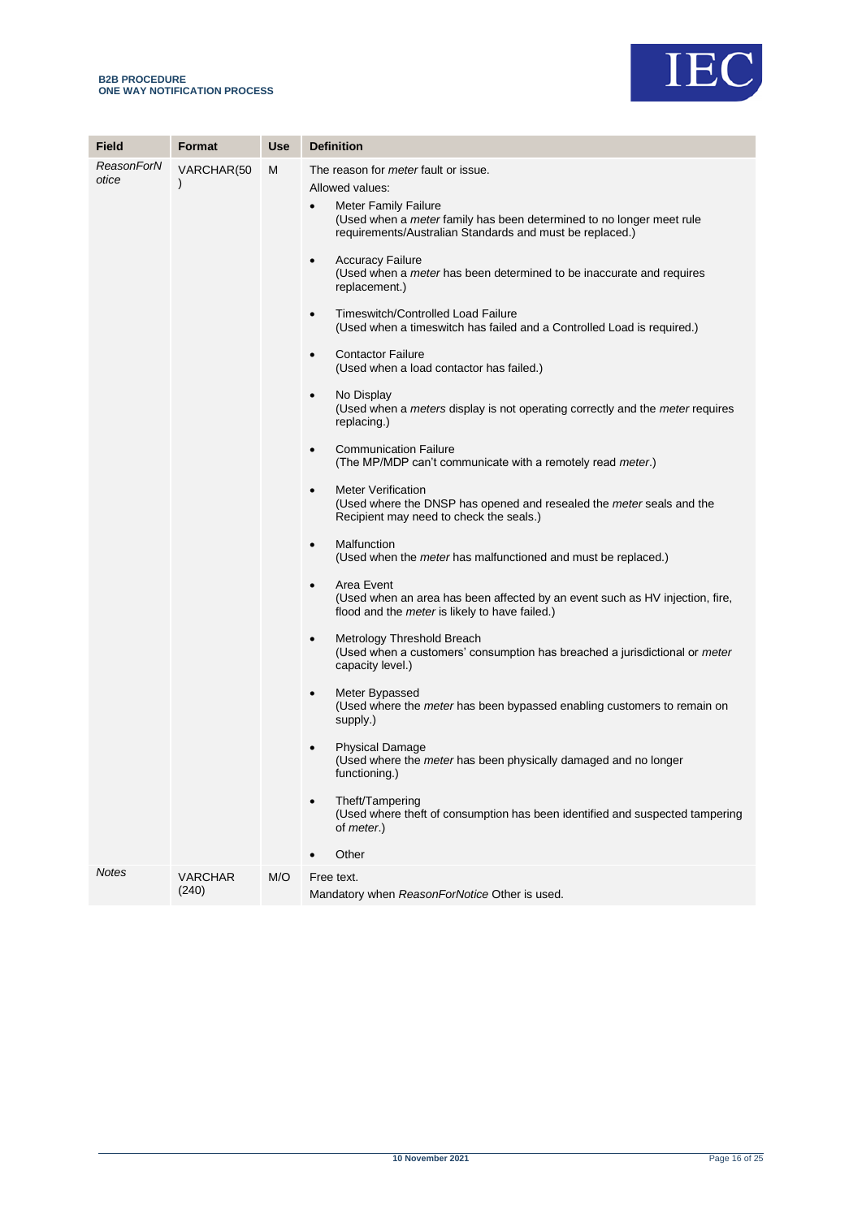

| Field               | Format                      | <b>Use</b> | <b>Definition</b>                                                                                                                                                                                                                                                                                                                                                                                                                                                                                                                                                                                                                                                                                                                                                                                                                                                                                                                                                                                                                                                                                                                                                                                                                                                                                                                                                                                                                                                                                                                                                                                                                                                                                                                                                                                                                              |
|---------------------|-----------------------------|------------|------------------------------------------------------------------------------------------------------------------------------------------------------------------------------------------------------------------------------------------------------------------------------------------------------------------------------------------------------------------------------------------------------------------------------------------------------------------------------------------------------------------------------------------------------------------------------------------------------------------------------------------------------------------------------------------------------------------------------------------------------------------------------------------------------------------------------------------------------------------------------------------------------------------------------------------------------------------------------------------------------------------------------------------------------------------------------------------------------------------------------------------------------------------------------------------------------------------------------------------------------------------------------------------------------------------------------------------------------------------------------------------------------------------------------------------------------------------------------------------------------------------------------------------------------------------------------------------------------------------------------------------------------------------------------------------------------------------------------------------------------------------------------------------------------------------------------------------------|
| ReasonForN<br>otice | VARCHAR(50<br>$\mathcal{E}$ | м          | The reason for <i>meter</i> fault or issue.<br>Allowed values:<br><b>Meter Family Failure</b><br>$\bullet$<br>(Used when a <i>meter</i> family has been determined to no longer meet rule<br>requirements/Australian Standards and must be replaced.)<br><b>Accuracy Failure</b><br>$\bullet$<br>(Used when a <i>meter</i> has been determined to be inaccurate and requires<br>replacement.)<br>Timeswitch/Controlled Load Failure<br>$\bullet$<br>(Used when a timeswitch has failed and a Controlled Load is required.)<br><b>Contactor Failure</b><br>$\bullet$<br>(Used when a load contactor has failed.)<br>No Display<br>$\bullet$<br>(Used when a <i>meters</i> display is not operating correctly and the <i>meter</i> requires<br>replacing.)<br><b>Communication Failure</b><br>$\bullet$<br>(The MP/MDP can't communicate with a remotely read meter.)<br><b>Meter Verification</b><br>$\bullet$<br>(Used where the DNSP has opened and resealed the <i>meter</i> seals and the<br>Recipient may need to check the seals.)<br>Malfunction<br>$\bullet$<br>(Used when the <i>meter</i> has malfunctioned and must be replaced.)<br>Area Event<br>$\bullet$<br>(Used when an area has been affected by an event such as HV injection, fire,<br>flood and the meter is likely to have failed.)<br>Metrology Threshold Breach<br>$\bullet$<br>(Used when a customers' consumption has breached a jurisdictional or meter<br>capacity level.)<br>Meter Bypassed<br>$\bullet$<br>(Used where the <i>meter</i> has been bypassed enabling customers to remain on<br>supply.)<br><b>Physical Damage</b><br>٠<br>(Used where the <i>meter</i> has been physically damaged and no longer<br>functioning.)<br>Theft/Tampering<br>(Used where theft of consumption has been identified and suspected tampering<br>of <i>meter.</i> )<br>Other |
| <b>Notes</b>        | <b>VARCHAR</b><br>(240)     | M/O        | Free text.<br>Mandatory when ReasonForNotice Other is used.                                                                                                                                                                                                                                                                                                                                                                                                                                                                                                                                                                                                                                                                                                                                                                                                                                                                                                                                                                                                                                                                                                                                                                                                                                                                                                                                                                                                                                                                                                                                                                                                                                                                                                                                                                                    |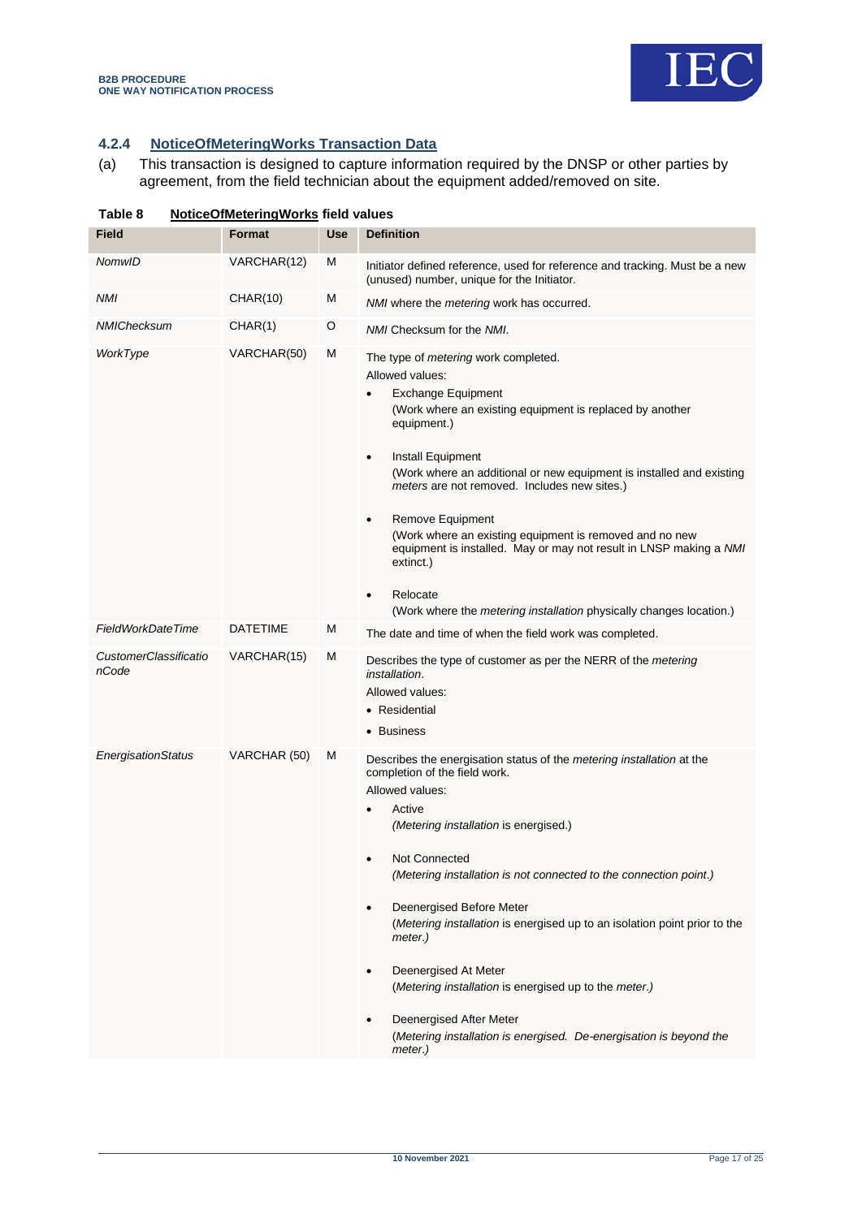

# **4.2.4 NoticeOfMeteringWorks Transaction Data**

(a) This transaction is designed to capture information required by the DNSP or other parties by agreement, from the field technician about the equipment added/removed on site.

<span id="page-16-0"></span>

| Table 8                               | <b>NoticeOfMeteringWorks field values</b> |            |                                                                                                                                                                                                                                                                                                                                                                                                                                                                                                                                                                                                                            |
|---------------------------------------|-------------------------------------------|------------|----------------------------------------------------------------------------------------------------------------------------------------------------------------------------------------------------------------------------------------------------------------------------------------------------------------------------------------------------------------------------------------------------------------------------------------------------------------------------------------------------------------------------------------------------------------------------------------------------------------------------|
| <b>Field</b>                          | Format                                    | <b>Use</b> | <b>Definition</b>                                                                                                                                                                                                                                                                                                                                                                                                                                                                                                                                                                                                          |
| NomwID                                | VARCHAR(12)                               | M          | Initiator defined reference, used for reference and tracking. Must be a new<br>(unused) number, unique for the Initiator.                                                                                                                                                                                                                                                                                                                                                                                                                                                                                                  |
| NMI                                   | <b>CHAR(10)</b>                           | M          | NMI where the metering work has occurred.                                                                                                                                                                                                                                                                                                                                                                                                                                                                                                                                                                                  |
| NMIChecksum                           | CHAR(1)                                   | O          | NMI Checksum for the NMI.                                                                                                                                                                                                                                                                                                                                                                                                                                                                                                                                                                                                  |
| WorkType                              | VARCHAR(50)                               | M          | The type of <i>metering</i> work completed.<br>Allowed values:<br><b>Exchange Equipment</b><br>(Work where an existing equipment is replaced by another<br>equipment.)<br>Install Equipment<br>$\bullet$<br>(Work where an additional or new equipment is installed and existing<br>meters are not removed. Includes new sites.)<br>Remove Equipment<br>$\bullet$<br>(Work where an existing equipment is removed and no new<br>equipment is installed. May or may not result in LNSP making a NMI<br>extinct.)<br>Relocate<br>$\bullet$<br>(Work where the <i>metering installation</i> physically changes location.)     |
| <b>FieldWorkDateTime</b>              | <b>DATETIME</b>                           | M          | The date and time of when the field work was completed.                                                                                                                                                                                                                                                                                                                                                                                                                                                                                                                                                                    |
| <b>CustomerClassificatio</b><br>nCode | VARCHAR(15)                               | M          | Describes the type of customer as per the NERR of the <i>metering</i><br><i>installation.</i><br>Allowed values:<br>• Residential<br>• Business                                                                                                                                                                                                                                                                                                                                                                                                                                                                            |
| EnergisationStatus                    | VARCHAR (50)                              | M          | Describes the energisation status of the metering installation at the<br>completion of the field work.<br>Allowed values:<br>Active<br>(Metering installation is energised.)<br>Not Connected<br>(Metering installation is not connected to the connection point.)<br>Deenergised Before Meter<br>$\bullet$<br>(Metering installation is energised up to an isolation point prior to the<br>meter.)<br>Deenergised At Meter<br>$\bullet$<br>(Metering installation is energised up to the meter.)<br>Deenergised After Meter<br>$\bullet$<br>(Metering installation is energised. De-energisation is beyond the<br>meter.) |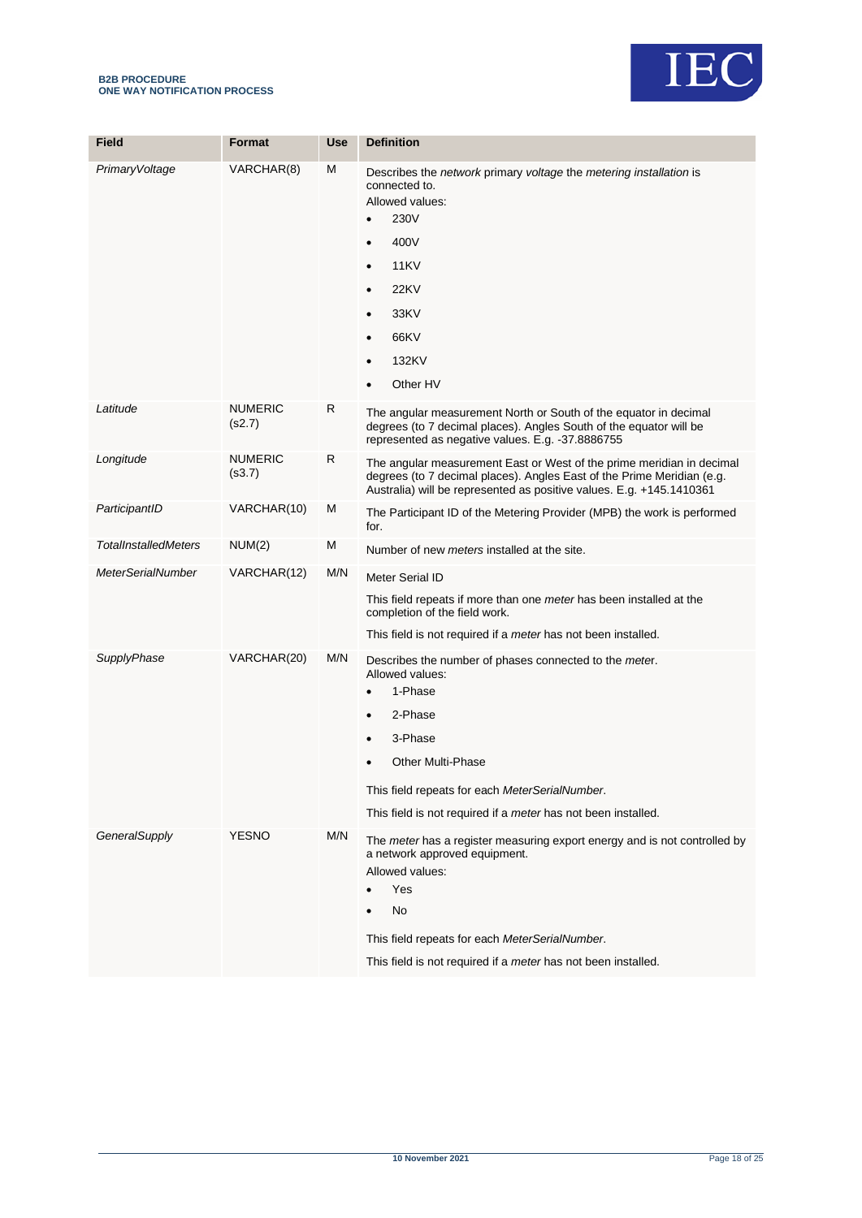#### **B2B PROCEDURE ONE WAY NOTIFICATION PROCESS**



| <b>Field</b>                | <b>Format</b>            | <b>Use</b> | <b>Definition</b>                                                                                                                                                                                                                                                                          |
|-----------------------------|--------------------------|------------|--------------------------------------------------------------------------------------------------------------------------------------------------------------------------------------------------------------------------------------------------------------------------------------------|
| PrimaryVoltage              | VARCHAR(8)               | M          | Describes the network primary voltage the metering installation is<br>connected to.<br>Allowed values:<br>230V<br>$\bullet$<br>400V<br><b>11KV</b><br>$\bullet$<br><b>22KV</b><br>$\bullet$<br>33KV<br>$\bullet$<br>66KV<br>132KV<br>$\bullet$<br>Other HV                                 |
| Latitude                    | <b>NUMERIC</b><br>(s2.7) | R          | The angular measurement North or South of the equator in decimal<br>degrees (to 7 decimal places). Angles South of the equator will be<br>represented as negative values. E.g. -37.8886755                                                                                                 |
| Longitude                   | <b>NUMERIC</b><br>(s3.7) | R          | The angular measurement East or West of the prime meridian in decimal<br>degrees (to 7 decimal places). Angles East of the Prime Meridian (e.g.<br>Australia) will be represented as positive values. E.g. +145.1410361                                                                    |
| ParticipantID               | VARCHAR(10)              | M          | The Participant ID of the Metering Provider (MPB) the work is performed<br>for.                                                                                                                                                                                                            |
| <b>TotalInstalledMeters</b> | NUM(2)                   | M          | Number of new <i>meters</i> installed at the site.                                                                                                                                                                                                                                         |
| <b>MeterSerialNumber</b>    | VARCHAR(12)              | M/N        | Meter Serial ID<br>This field repeats if more than one <i>meter</i> has been installed at the<br>completion of the field work.<br>This field is not required if a <i>meter</i> has not been installed.                                                                                     |
| SupplyPhase                 | VARCHAR(20)              | M/N        | Describes the number of phases connected to the meter.<br>Allowed values:<br>1-Phase<br>$\bullet$<br>2-Phase<br>$\bullet$<br>3-Phase<br><b>Other Multi-Phase</b><br>This field repeats for each MeterSerialNumber.<br>This field is not required if a <i>meter</i> has not been installed. |
| GeneralSupply               | <b>YESNO</b>             | M/N        | The meter has a register measuring export energy and is not controlled by<br>a network approved equipment.<br>Allowed values:<br>Yes<br>No<br>This field repeats for each MeterSerialNumber.<br>This field is not required if a meter has not been installed.                              |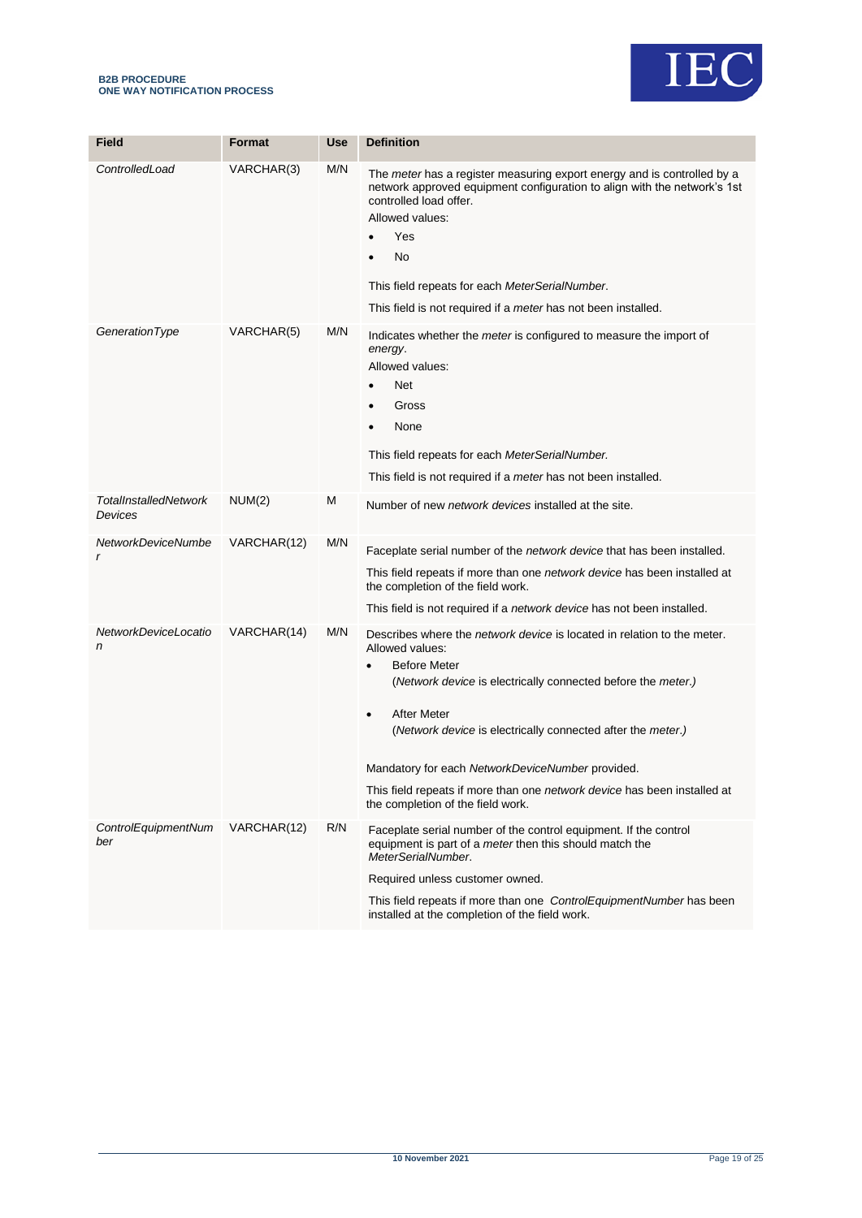



| <b>Field</b>                            | <b>Format</b> | Use | <b>Definition</b>                                                                                                                                                                                                                                                                                                                                                                                                                                                      |
|-----------------------------------------|---------------|-----|------------------------------------------------------------------------------------------------------------------------------------------------------------------------------------------------------------------------------------------------------------------------------------------------------------------------------------------------------------------------------------------------------------------------------------------------------------------------|
|                                         |               |     |                                                                                                                                                                                                                                                                                                                                                                                                                                                                        |
| ControlledLoad                          | VARCHAR(3)    | M/N | The <i>meter</i> has a register measuring export energy and is controlled by a<br>network approved equipment configuration to align with the network's 1st<br>controlled load offer.<br>Allowed values:<br>Yes<br>No<br>This field repeats for each MeterSerialNumber.<br>This field is not required if a <i>meter</i> has not been installed.                                                                                                                         |
| GenerationType                          | VARCHAR(5)    | M/N | Indicates whether the <i>meter</i> is configured to measure the import of<br>energy.<br>Allowed values:<br><b>Net</b><br>$\bullet$<br>Gross<br>None<br>This field repeats for each MeterSerialNumber.<br>This field is not required if a <i>meter</i> has not been installed.                                                                                                                                                                                          |
| <b>TotalInstalledNetwork</b><br>Devices | NUM(2)        | Μ   | Number of new <i>network devices</i> installed at the site.                                                                                                                                                                                                                                                                                                                                                                                                            |
| NetworkDeviceNumbe<br>r                 | VARCHAR(12)   | M/N | Faceplate serial number of the <i>network device</i> that has been installed.<br>This field repeats if more than one network device has been installed at<br>the completion of the field work.<br>This field is not required if a network device has not been installed.                                                                                                                                                                                               |
| NetworkDeviceLocatio<br>n               | VARCHAR(14)   | M/N | Describes where the <i>network device</i> is located in relation to the meter.<br>Allowed values:<br><b>Before Meter</b><br>(Network device is electrically connected before the meter.)<br><b>After Meter</b><br>$\bullet$<br>(Network device is electrically connected after the meter.)<br>Mandatory for each NetworkDeviceNumber provided.<br>This field repeats if more than one <i>network device</i> has been installed at<br>the completion of the field work. |
| ControlEquipmentNum<br>ber              | VARCHAR(12)   | R/N | Faceplate serial number of the control equipment. If the control<br>equipment is part of a <i>meter</i> then this should match the<br>MeterSerialNumber.<br>Required unless customer owned.<br>This field repeats if more than one ControlEquipmentNumber has been<br>installed at the completion of the field work.                                                                                                                                                   |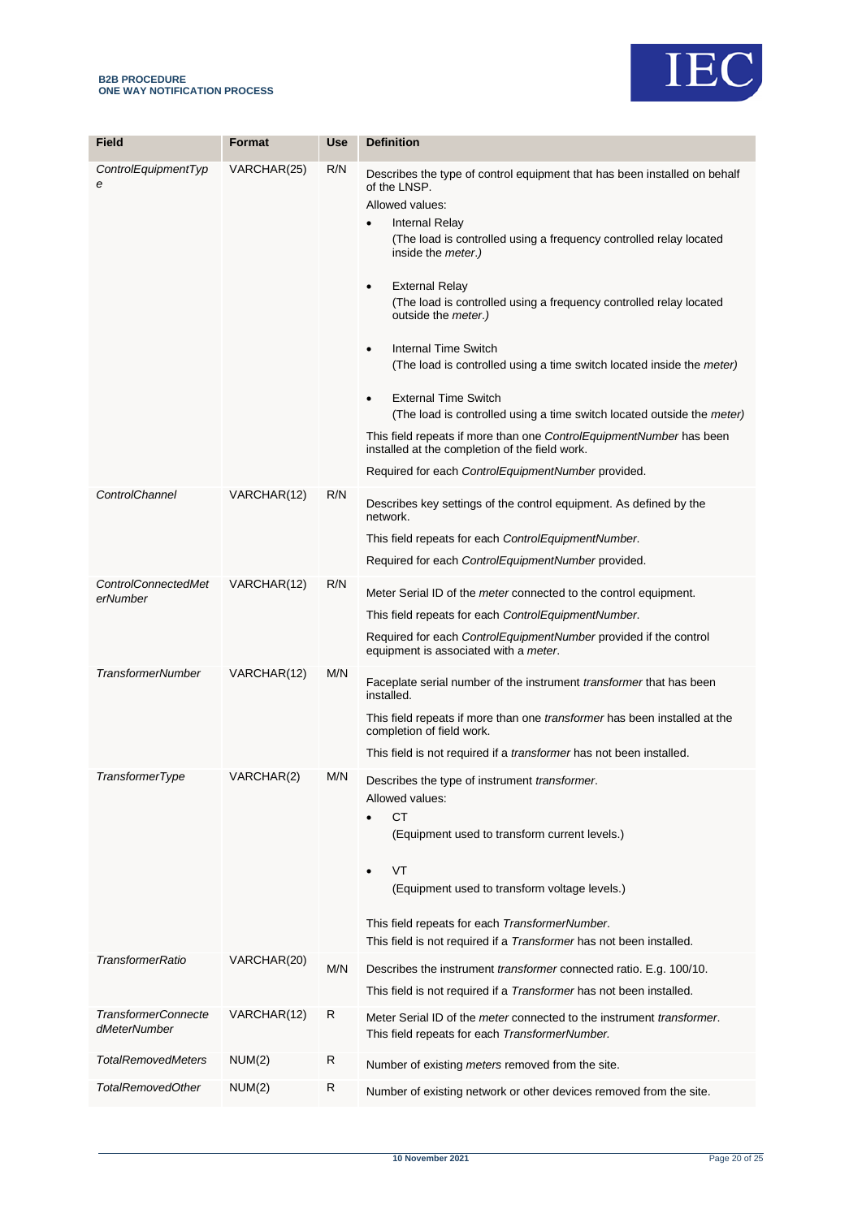

| <b>Field</b>                               | <b>Format</b> | <b>Use</b> | <b>Definition</b>                                                                                                                                                                                                                                                                                                                                                                                                                                                                                                                                                                                                                                                                                                                                                                                    |
|--------------------------------------------|---------------|------------|------------------------------------------------------------------------------------------------------------------------------------------------------------------------------------------------------------------------------------------------------------------------------------------------------------------------------------------------------------------------------------------------------------------------------------------------------------------------------------------------------------------------------------------------------------------------------------------------------------------------------------------------------------------------------------------------------------------------------------------------------------------------------------------------------|
| ControlEquipmentTyp<br>е                   | VARCHAR(25)   | R/N        | Describes the type of control equipment that has been installed on behalf<br>of the LNSP.<br>Allowed values:<br>Internal Relay<br>٠<br>(The load is controlled using a frequency controlled relay located<br>inside the <i>meter</i> .)<br><b>External Relay</b><br>٠<br>(The load is controlled using a frequency controlled relay located<br>outside the <i>meter</i> .)<br>Internal Time Switch<br>٠<br>(The load is controlled using a time switch located inside the <i>meter</i> )<br><b>External Time Switch</b><br>$\bullet$<br>(The load is controlled using a time switch located outside the meter)<br>This field repeats if more than one <i>ControlEquipmentNumber</i> has been<br>installed at the completion of the field work.<br>Required for each ControlEquipmentNumber provided. |
| ControlChannel                             | VARCHAR(12)   | R/N        | Describes key settings of the control equipment. As defined by the<br>network.<br>This field repeats for each ControlEquipmentNumber.<br>Required for each ControlEquipmentNumber provided.                                                                                                                                                                                                                                                                                                                                                                                                                                                                                                                                                                                                          |
| <b>ControlConnectedMet</b><br>erNumber     | VARCHAR(12)   | R/N        | Meter Serial ID of the <i>meter</i> connected to the control equipment.<br>This field repeats for each ControlEquipmentNumber.<br>Required for each ControlEquipmentNumber provided if the control<br>equipment is associated with a meter.                                                                                                                                                                                                                                                                                                                                                                                                                                                                                                                                                          |
| <b>TransformerNumber</b>                   | VARCHAR(12)   | M/N        | Faceplate serial number of the instrument <i>transformer</i> that has been<br>installed.<br>This field repeats if more than one <i>transformer</i> has been installed at the<br>completion of field work.<br>This field is not required if a <i>transformer</i> has not been installed.                                                                                                                                                                                                                                                                                                                                                                                                                                                                                                              |
| TransformerType                            | VARCHAR(2)    | M/N        | Describes the type of instrument transformer.<br>Allowed values:<br><b>CT</b><br>(Equipment used to transform current levels.)<br>VT<br>$\bullet$<br>(Equipment used to transform voltage levels.)<br>This field repeats for each TransformerNumber.<br>This field is not required if a <i>Transformer</i> has not been installed.                                                                                                                                                                                                                                                                                                                                                                                                                                                                   |
| <b>TransformerRatio</b>                    | VARCHAR(20)   | M/N        | Describes the instrument <i>transformer</i> connected ratio. E.g. 100/10.<br>This field is not required if a <i>Transformer</i> has not been installed.                                                                                                                                                                                                                                                                                                                                                                                                                                                                                                                                                                                                                                              |
| <b>TransformerConnecte</b><br>dMeterNumber | VARCHAR(12)   | R          | Meter Serial ID of the <i>meter</i> connected to the instrument <i>transformer</i> .<br>This field repeats for each TransformerNumber.                                                                                                                                                                                                                                                                                                                                                                                                                                                                                                                                                                                                                                                               |
| <b>TotalRemovedMeters</b>                  | NUM(2)        | R          | Number of existing meters removed from the site.                                                                                                                                                                                                                                                                                                                                                                                                                                                                                                                                                                                                                                                                                                                                                     |
| <b>TotalRemovedOther</b>                   | NUM(2)        | R          | Number of existing network or other devices removed from the site.                                                                                                                                                                                                                                                                                                                                                                                                                                                                                                                                                                                                                                                                                                                                   |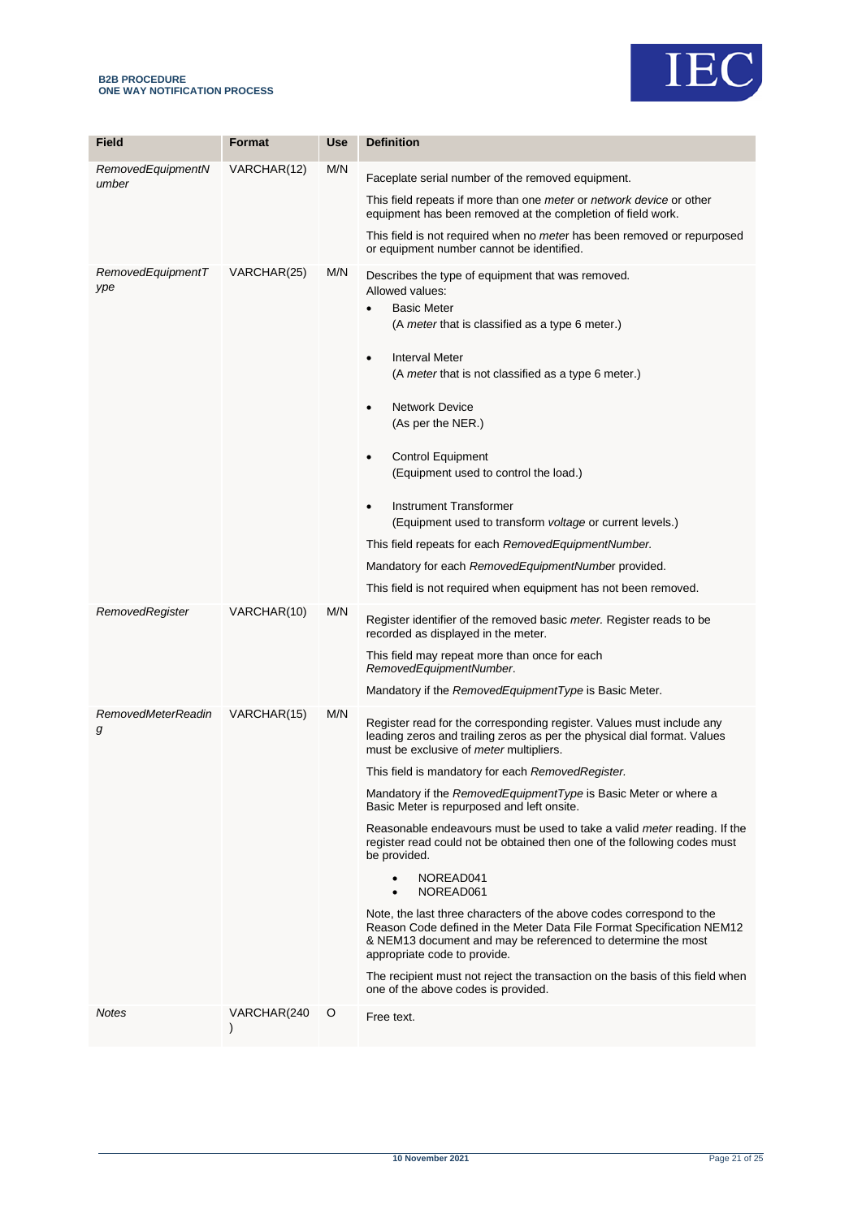#### **B2B PROCEDURE ONE WAY NOTIFICATION PROCESS**



| Field                          | Format      | Use | <b>Definition</b>                                                                                                                                                                                                                                                                                                                                                                                                                                                                                                                                                                                                                                                                                                                                                                                                                                                                                                                                           |
|--------------------------------|-------------|-----|-------------------------------------------------------------------------------------------------------------------------------------------------------------------------------------------------------------------------------------------------------------------------------------------------------------------------------------------------------------------------------------------------------------------------------------------------------------------------------------------------------------------------------------------------------------------------------------------------------------------------------------------------------------------------------------------------------------------------------------------------------------------------------------------------------------------------------------------------------------------------------------------------------------------------------------------------------------|
| RemovedEquipmentN<br>umber     | VARCHAR(12) | M/N | Faceplate serial number of the removed equipment.<br>This field repeats if more than one <i>meter</i> or <i>network device</i> or other<br>equipment has been removed at the completion of field work.<br>This field is not required when no <i>meter</i> has been removed or repurposed<br>or equipment number cannot be identified.                                                                                                                                                                                                                                                                                                                                                                                                                                                                                                                                                                                                                       |
| RemovedEquipmentT<br>ype       | VARCHAR(25) | M/N | Describes the type of equipment that was removed.<br>Allowed values:<br><b>Basic Meter</b><br>$\bullet$<br>(A meter that is classified as a type 6 meter.)<br><b>Interval Meter</b><br>$\bullet$<br>(A meter that is not classified as a type 6 meter.)<br><b>Network Device</b><br>$\bullet$<br>(As per the NER.)<br><b>Control Equipment</b><br>$\bullet$<br>(Equipment used to control the load.)<br>Instrument Transformer<br>$\bullet$<br>(Equipment used to transform voltage or current levels.)<br>This field repeats for each Removed Equipment Number.<br>Mandatory for each RemovedEquipmentNumber provided.<br>This field is not required when equipment has not been removed.                                                                                                                                                                                                                                                                  |
| RemovedRegister                | VARCHAR(10) | M/N | Register identifier of the removed basic meter. Register reads to be<br>recorded as displayed in the meter.<br>This field may repeat more than once for each<br>RemovedEquipmentNumber.<br>Mandatory if the RemovedEquipmentType is Basic Meter.                                                                                                                                                                                                                                                                                                                                                                                                                                                                                                                                                                                                                                                                                                            |
| <b>RemovedMeterReadin</b><br>g | VARCHAR(15) | M/N | Register read for the corresponding register. Values must include any<br>leading zeros and trailing zeros as per the physical dial format. Values<br>must be exclusive of <i>meter</i> multipliers.<br>This field is mandatory for each RemovedRegister.<br>Mandatory if the RemovedEquipmentType is Basic Meter or where a<br>Basic Meter is repurposed and left onsite.<br>Reasonable endeavours must be used to take a valid <i>meter</i> reading. If the<br>register read could not be obtained then one of the following codes must<br>be provided.<br>NOREAD041<br>NOREAD061<br>Note, the last three characters of the above codes correspond to the<br>Reason Code defined in the Meter Data File Format Specification NEM12<br>& NEM13 document and may be referenced to determine the most<br>appropriate code to provide.<br>The recipient must not reject the transaction on the basis of this field when<br>one of the above codes is provided. |
| Notes                          | VARCHAR(240 | O   | Free text.                                                                                                                                                                                                                                                                                                                                                                                                                                                                                                                                                                                                                                                                                                                                                                                                                                                                                                                                                  |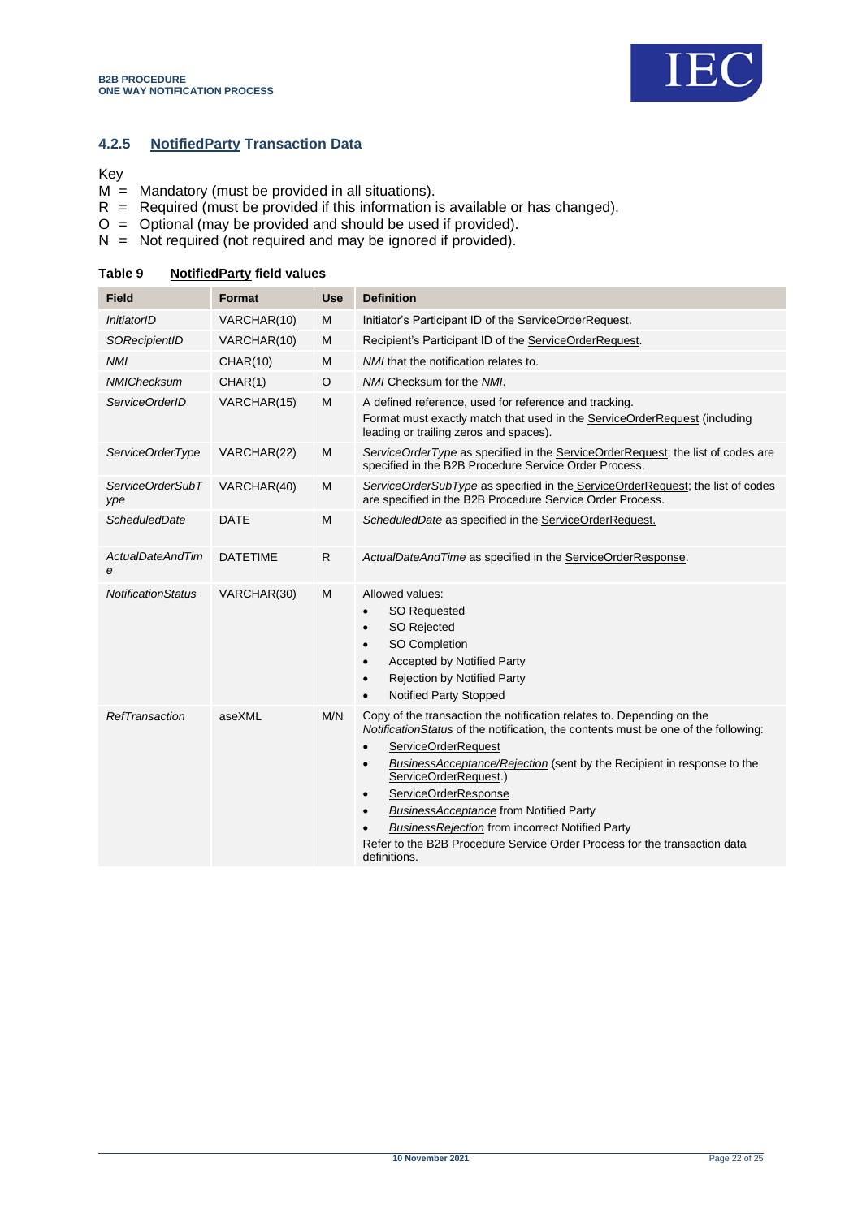

## **4.2.5 NotifiedParty Transaction Data**

#### Key

- $M =$  Mandatory (must be provided in all situations).
- $R$  = Required (must be provided if this information is available or has changed).
- O = Optional (may be provided and should be used if provided).
- N = Not required (not required and may be ignored if provided).

| <b>Field</b>                 | Format          | <b>Use</b>   | <b>Definition</b>                                                                                                                                                                                                                                                                                                                                                                                                                                                                                                                                                         |  |  |
|------------------------------|-----------------|--------------|---------------------------------------------------------------------------------------------------------------------------------------------------------------------------------------------------------------------------------------------------------------------------------------------------------------------------------------------------------------------------------------------------------------------------------------------------------------------------------------------------------------------------------------------------------------------------|--|--|
| InitiatorID                  | VARCHAR(10)     | M            | Initiator's Participant ID of the ServiceOrderRequest.                                                                                                                                                                                                                                                                                                                                                                                                                                                                                                                    |  |  |
| SORecipientID                | VARCHAR(10)     | M            | Recipient's Participant ID of the ServiceOrderRequest.                                                                                                                                                                                                                                                                                                                                                                                                                                                                                                                    |  |  |
| <b>NMI</b>                   | <b>CHAR(10)</b> | M            | NMI that the notification relates to.                                                                                                                                                                                                                                                                                                                                                                                                                                                                                                                                     |  |  |
| <b>NMIChecksum</b>           | CHAR(1)         | O            | NMI Checksum for the NMI.                                                                                                                                                                                                                                                                                                                                                                                                                                                                                                                                                 |  |  |
| ServiceOrderID               | VARCHAR(15)     | М            | A defined reference, used for reference and tracking.<br>Format must exactly match that used in the ServiceOrderRequest (including<br>leading or trailing zeros and spaces).                                                                                                                                                                                                                                                                                                                                                                                              |  |  |
| ServiceOrderType             | VARCHAR(22)     | М            | ServiceOrderType as specified in the ServiceOrderRequest; the list of codes are<br>specified in the B2B Procedure Service Order Process.                                                                                                                                                                                                                                                                                                                                                                                                                                  |  |  |
| ServiceOrderSubT<br>ype      | VARCHAR(40)     | M            | ServiceOrderSubType as specified in the ServiceOrderRequest; the list of codes<br>are specified in the B2B Procedure Service Order Process.                                                                                                                                                                                                                                                                                                                                                                                                                               |  |  |
| <b>ScheduledDate</b>         | <b>DATE</b>     | M            | ScheduledDate as specified in the ServiceOrderRequest.                                                                                                                                                                                                                                                                                                                                                                                                                                                                                                                    |  |  |
| <b>ActualDateAndTim</b><br>е | <b>DATETIME</b> | $\mathsf{R}$ | ActualDateAndTime as specified in the ServiceOrderResponse.                                                                                                                                                                                                                                                                                                                                                                                                                                                                                                               |  |  |
| <b>NotificationStatus</b>    | VARCHAR(30)     | M            | Allowed values:<br><b>SO Requested</b><br>$\bullet$<br><b>SO Rejected</b><br>$\bullet$<br>SO Completion<br>$\bullet$<br><b>Accepted by Notified Party</b><br>$\bullet$<br><b>Rejection by Notified Party</b><br>$\bullet$<br>Notified Party Stopped                                                                                                                                                                                                                                                                                                                       |  |  |
| RefTransaction               | aseXML          | M/N          | Copy of the transaction the notification relates to. Depending on the<br>NotificationStatus of the notification, the contents must be one of the following:<br>ServiceOrderRequest<br>$\bullet$<br>BusinessAcceptance/Rejection (sent by the Recipient in response to the<br>$\bullet$<br>ServiceOrderRequest.)<br>ServiceOrderResponse<br>$\bullet$<br><b>BusinessAcceptance from Notified Party</b><br>$\bullet$<br><b>BusinessRejection from incorrect Notified Party</b><br>Refer to the B2B Procedure Service Order Process for the transaction data<br>definitions. |  |  |

#### <span id="page-21-0"></span>**Table 9 NotifiedParty field values**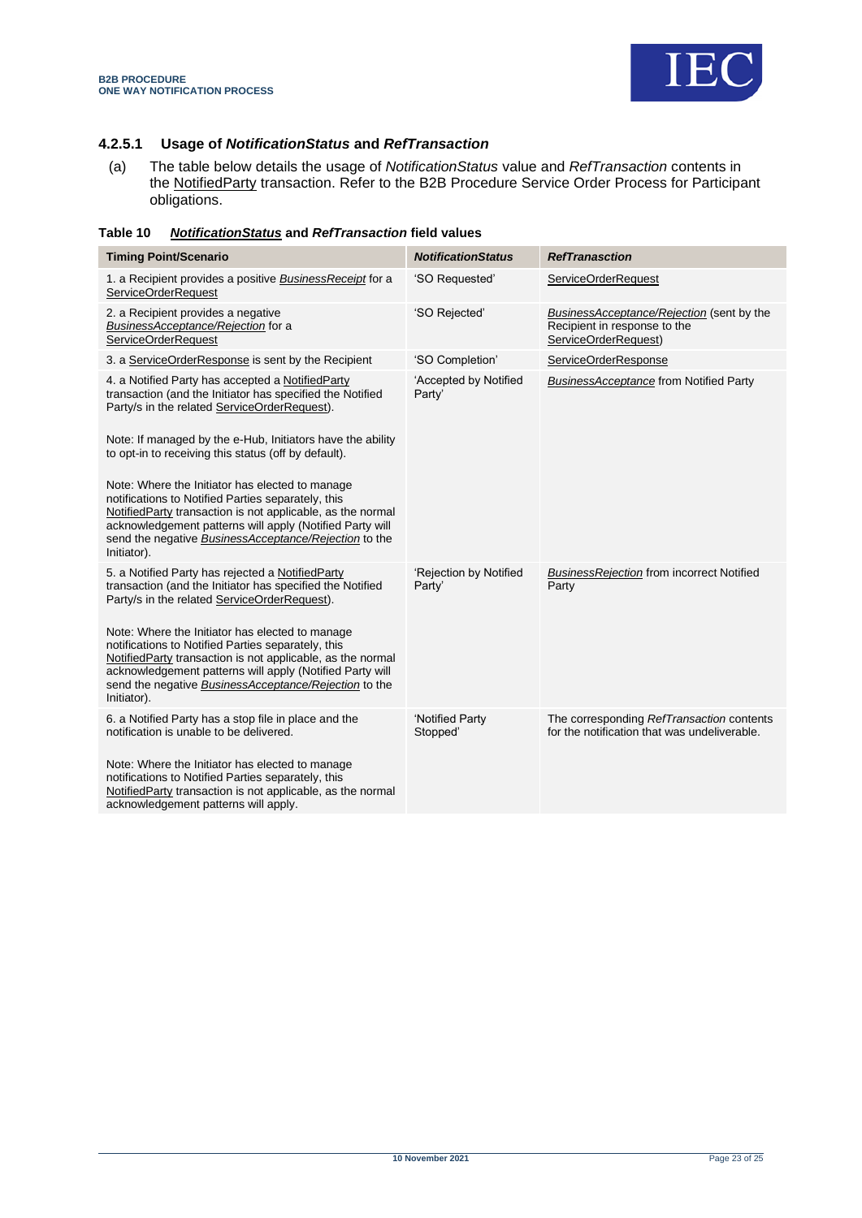

## **4.2.5.1 Usage of** *NotificationStatus* **and** *RefTransaction*

(a) The table below details the usage of *NotificationStatus* value and *RefTransaction* contents in the NotifiedParty transaction. Refer to the B2B Procedure Service Order Process for Participant obligations.

<span id="page-22-0"></span>

| Table 10 | <b>NotificationStatus and RefTransaction field values</b> |
|----------|-----------------------------------------------------------|
|----------|-----------------------------------------------------------|

| <b>Timing Point/Scenario</b>                                                                                                                                                                                                                                                                                                                                                                 | <b>NotificationStatus</b>        | <b>RefTranasction</b>                                                                             |
|----------------------------------------------------------------------------------------------------------------------------------------------------------------------------------------------------------------------------------------------------------------------------------------------------------------------------------------------------------------------------------------------|----------------------------------|---------------------------------------------------------------------------------------------------|
| 1. a Recipient provides a positive Business Receipt for a<br><b>ServiceOrderRequest</b>                                                                                                                                                                                                                                                                                                      | 'SO Requested'                   | ServiceOrderRequest                                                                               |
| 2. a Recipient provides a negative<br>BusinessAcceptance/Rejection for a<br><b>ServiceOrderRequest</b>                                                                                                                                                                                                                                                                                       | 'SO Rejected'                    | BusinessAcceptance/Rejection (sent by the<br>Recipient in response to the<br>ServiceOrderRequest) |
| 3. a ServiceOrderResponse is sent by the Recipient                                                                                                                                                                                                                                                                                                                                           | 'SO Completion'                  | ServiceOrderResponse                                                                              |
| 4. a Notified Party has accepted a NotifiedParty<br>transaction (and the Initiator has specified the Notified<br>Party/s in the related ServiceOrderRequest).<br>Note: If managed by the e-Hub, Initiators have the ability<br>to opt-in to receiving this status (off by default).<br>Note: Where the Initiator has elected to manage<br>notifications to Notified Parties separately, this | 'Accepted by Notified<br>Party'  | <b>BusinessAcceptance from Notified Party</b>                                                     |
| NotifiedParty transaction is not applicable, as the normal<br>acknowledgement patterns will apply (Notified Party will<br>send the negative BusinessAcceptance/Rejection to the<br>Initiator).                                                                                                                                                                                               |                                  |                                                                                                   |
| 5. a Notified Party has rejected a NotifiedParty<br>transaction (and the Initiator has specified the Notified<br>Party/s in the related ServiceOrderRequest).                                                                                                                                                                                                                                | 'Rejection by Notified<br>Party' | <b>BusinessRejection from incorrect Notified</b><br>Party                                         |
| Note: Where the Initiator has elected to manage<br>notifications to Notified Parties separately, this<br>NotifiedParty transaction is not applicable, as the normal<br>acknowledgement patterns will apply (Notified Party will<br>send the negative BusinessAcceptance/Rejection to the<br>Initiator).                                                                                      |                                  |                                                                                                   |
| 6. a Notified Party has a stop file in place and the<br>notification is unable to be delivered.<br>Note: Where the Initiator has elected to manage<br>notifications to Notified Parties separately, this<br>NotifiedParty transaction is not applicable, as the normal<br>acknowledgement patterns will apply.                                                                               | 'Notified Party<br>Stopped'      | The corresponding RefTransaction contents<br>for the notification that was undeliverable.         |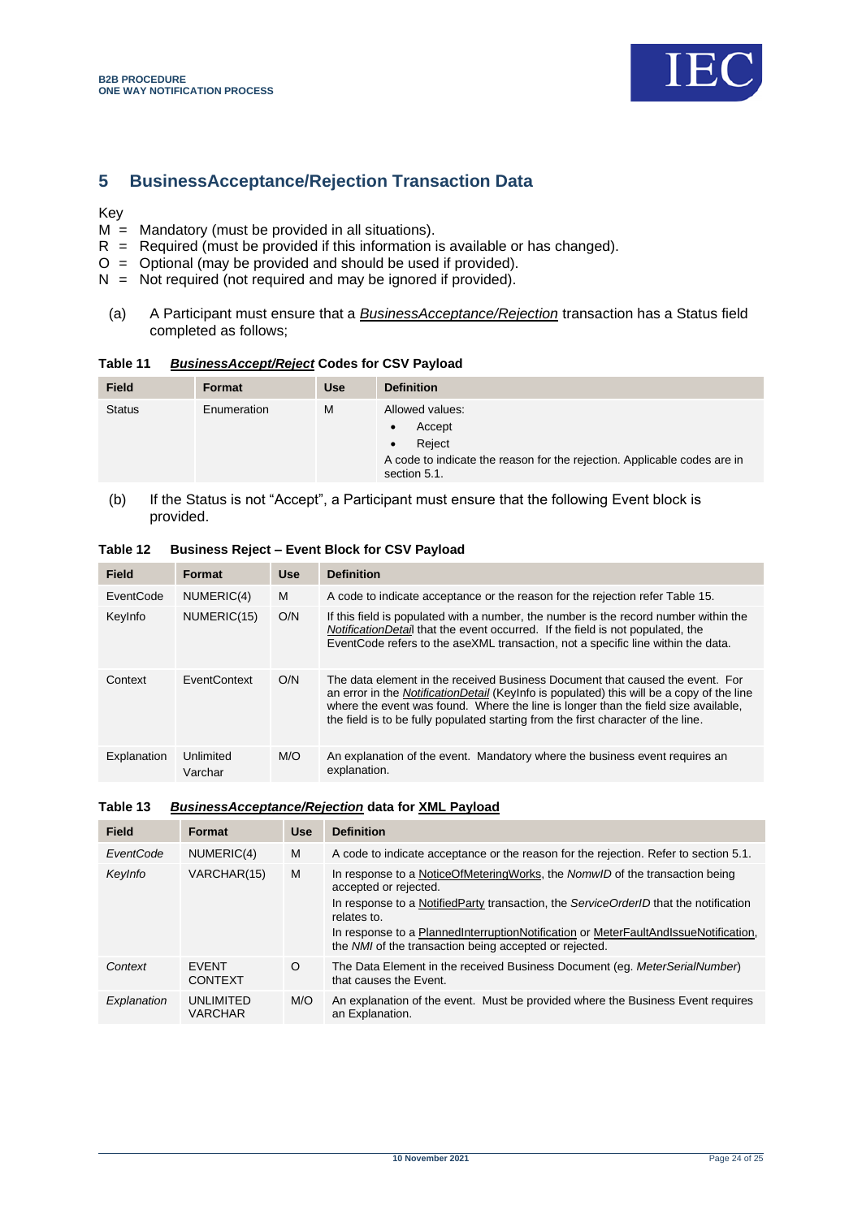

# <span id="page-23-0"></span>**5 BusinessAcceptance/Rejection Transaction Data**

## Key

- $M =$  Mandatory (must be provided in all situations).
- $R$  = Required (must be provided if this information is available or has changed).
- $O =$  Optional (may be provided and should be used if provided).
- $N = Not required (not required and may be ignored if provided).$
- (a) A Participant must ensure that a *BusinessAcceptance/Rejection* transaction has a Status field completed as follows;

# <span id="page-23-1"></span>**Table 11** *BusinessAccept/Reject* **Codes for CSV Payload**

| <b>Field</b>  | Format      | <b>Use</b> | <b>Definition</b>                                                                                                                            |
|---------------|-------------|------------|----------------------------------------------------------------------------------------------------------------------------------------------|
| <b>Status</b> | Enumeration | M          | Allowed values:<br>Accept<br>$\bullet$<br>Reject<br>A code to indicate the reason for the rejection. Applicable codes are in<br>section 5.1. |

(b) If the Status is not "Accept", a Participant must ensure that the following Event block is provided.

| <b>Field</b> | <b>Format</b>        | <b>Use</b> | <b>Definition</b>                                                                                                                                                                                                                                                                                                                                     |
|--------------|----------------------|------------|-------------------------------------------------------------------------------------------------------------------------------------------------------------------------------------------------------------------------------------------------------------------------------------------------------------------------------------------------------|
| EventCode    | NUMERIC(4)           | м          | A code to indicate acceptance or the reason for the rejection refer Table 15.                                                                                                                                                                                                                                                                         |
| KeyInfo      | NUMERIC(15)          | O/N        | If this field is populated with a number, the number is the record number within the<br><i>NotificationDetail</i> that the event occurred. If the field is not populated, the<br>EventCode refers to the aseXML transaction, not a specific line within the data.                                                                                     |
| Context      | <b>FventContext</b>  | O/N        | The data element in the received Business Document that caused the event. For<br>an error in the NotificationDetail (Keylnfo is populated) this will be a copy of the line<br>where the event was found. Where the line is longer than the field size available,<br>the field is to be fully populated starting from the first character of the line. |
| Explanation  | Unlimited<br>Varchar | M/O        | An explanation of the event. Mandatory where the business event requires an<br>explanation.                                                                                                                                                                                                                                                           |

## <span id="page-23-2"></span>**Table 12 Business Reject – Event Block for CSV Payload**

#### <span id="page-23-3"></span>**Table 13** *BusinessAcceptance/Rejection* **data for XML Payload**

| Field       | <b>Format</b>                  | <b>Use</b> | <b>Definition</b>                                                                                                                             |  |  |
|-------------|--------------------------------|------------|-----------------------------------------------------------------------------------------------------------------------------------------------|--|--|
| EventCode   | NUMERIC(4)                     | M          | A code to indicate acceptance or the reason for the rejection. Refer to section 5.1.                                                          |  |  |
| Keylnfo     | VARCHAR(15)                    | м          | In response to a NoticeOfMeteringWorks, the NomwID of the transaction being<br>accepted or rejected.                                          |  |  |
|             |                                |            | In response to a NotifiedParty transaction, the ServiceOrderID that the notification<br>relates to.                                           |  |  |
|             |                                |            | In response to a PlannedInterruptionNotification or MeterFaultAndIssueNotification,<br>the NMI of the transaction being accepted or rejected. |  |  |
| Context     | <b>FVFNT</b><br><b>CONTEXT</b> | $\circ$    | The Data Element in the received Business Document (eq. MeterSerialNumber)<br>that causes the Event.                                          |  |  |
| Explanation | UNLIMITED<br><b>VARCHAR</b>    | M/O        | An explanation of the event. Must be provided where the Business Event requires<br>an Explanation.                                            |  |  |